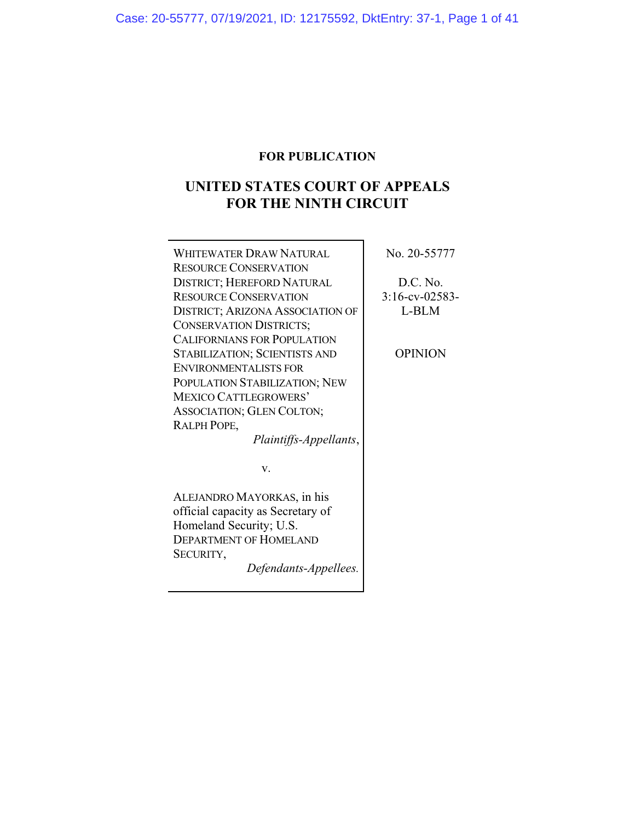## **FOR PUBLICATION**

# **UNITED STATES COURT OF APPEALS FOR THE NINTH CIRCUIT**

| WHITEWATER DRAW NATURAL                 | No. 20-55777      |
|-----------------------------------------|-------------------|
| <b>RESOURCE CONSERVATION</b>            |                   |
| <b>DISTRICT; HEREFORD NATURAL</b>       | D.C. No.          |
| <b>RESOURCE CONSERVATION</b>            | $3:16$ -cv-02583- |
| <b>DISTRICT; ARIZONA ASSOCIATION OF</b> | L-BLM             |
| <b>CONSERVATION DISTRICTS;</b>          |                   |
| <b>CALIFORNIANS FOR POPULATION</b>      |                   |
| <b>STABILIZATION; SCIENTISTS AND</b>    | <b>OPINION</b>    |
| <b>ENVIRONMENTALISTS FOR</b>            |                   |
| POPULATION STABILIZATION; NEW           |                   |
| <b>MEXICO CATTLEGROWERS'</b>            |                   |
| ASSOCIATION; GLEN COLTON;               |                   |
| RALPH POPE,                             |                   |
| Plaintiffs-Appellants,                  |                   |
|                                         |                   |
| V.                                      |                   |
|                                         |                   |
| ALEJANDRO MAYORKAS, in his              |                   |
| official capacity as Secretary of       |                   |
| Homeland Security; U.S.                 |                   |
| <b>DEPARTMENT OF HOMELAND</b>           |                   |
| SECURITY,                               |                   |

*Defendants-Appellees.*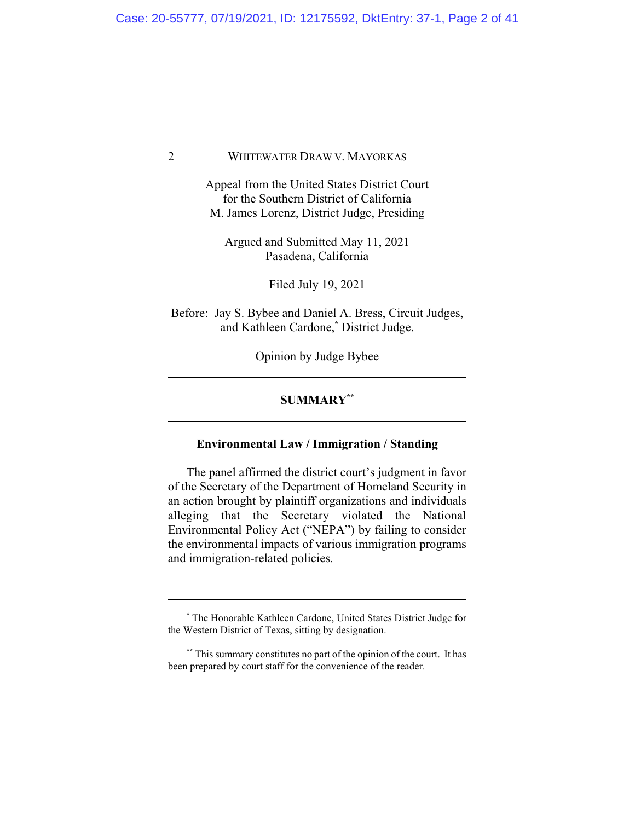Appeal from the United States District Court for the Southern District of California M. James Lorenz, District Judge, Presiding

Argued and Submitted May 11, 2021 Pasadena, California

Filed July 19, 2021

Before: Jay S. Bybee and Daniel A. Bress, Circuit Judges, and Kathleen Cardone,**\*** District Judge.

Opinion by Judge Bybee

## **SUMMARY\*\***

## **Environmental Law / Immigration / Standing**

The panel affirmed the district court's judgment in favor of the Secretary of the Department of Homeland Security in an action brought by plaintiff organizations and individuals alleging that the Secretary violated the National Environmental Policy Act ("NEPA") by failing to consider the environmental impacts of various immigration programs and immigration-related policies.

**<sup>\*</sup>** The Honorable Kathleen Cardone, United States District Judge for the Western District of Texas, sitting by designation.

**<sup>\*\*</sup>** This summary constitutes no part of the opinion of the court. It has been prepared by court staff for the convenience of the reader.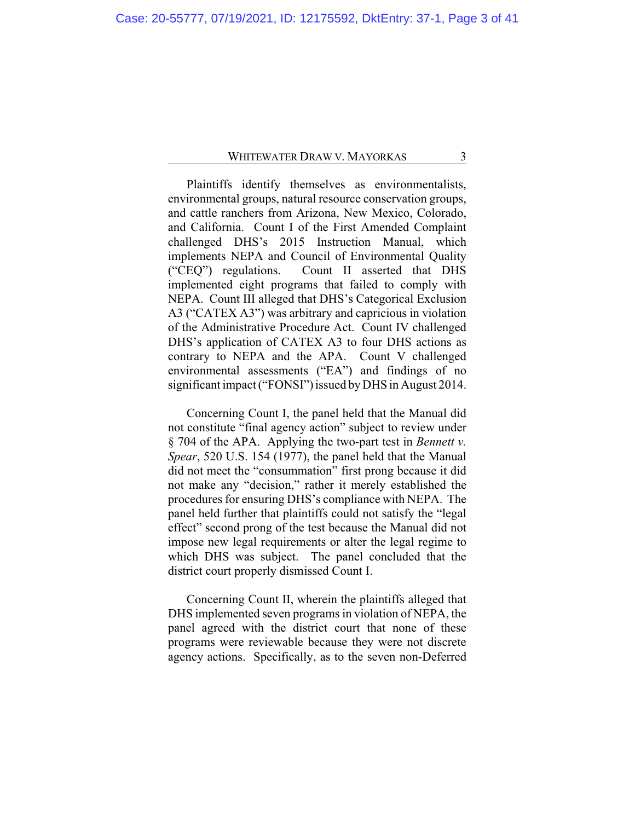Plaintiffs identify themselves as environmentalists, environmental groups, natural resource conservation groups, and cattle ranchers from Arizona, New Mexico, Colorado, and California. Count I of the First Amended Complaint challenged DHS's 2015 Instruction Manual, which implements NEPA and Council of Environmental Quality ("CEQ") regulations. Count II asserted that DHS implemented eight programs that failed to comply with NEPA. Count III alleged that DHS's Categorical Exclusion A3 ("CATEX A3") was arbitrary and capricious in violation of the Administrative Procedure Act. Count IV challenged DHS's application of CATEX A3 to four DHS actions as contrary to NEPA and the APA. Count V challenged environmental assessments ("EA") and findings of no significant impact ("FONSI") issued by DHS in August 2014.

Concerning Count I, the panel held that the Manual did not constitute "final agency action" subject to review under § 704 of the APA. Applying the two-part test in *Bennett v. Spear*, 520 U.S. 154 (1977), the panel held that the Manual did not meet the "consummation" first prong because it did not make any "decision," rather it merely established the procedures for ensuring DHS's compliance with NEPA. The panel held further that plaintiffs could not satisfy the "legal effect" second prong of the test because the Manual did not impose new legal requirements or alter the legal regime to which DHS was subject. The panel concluded that the district court properly dismissed Count I.

Concerning Count II, wherein the plaintiffs alleged that DHS implemented seven programs in violation of NEPA, the panel agreed with the district court that none of these programs were reviewable because they were not discrete agency actions. Specifically, as to the seven non-Deferred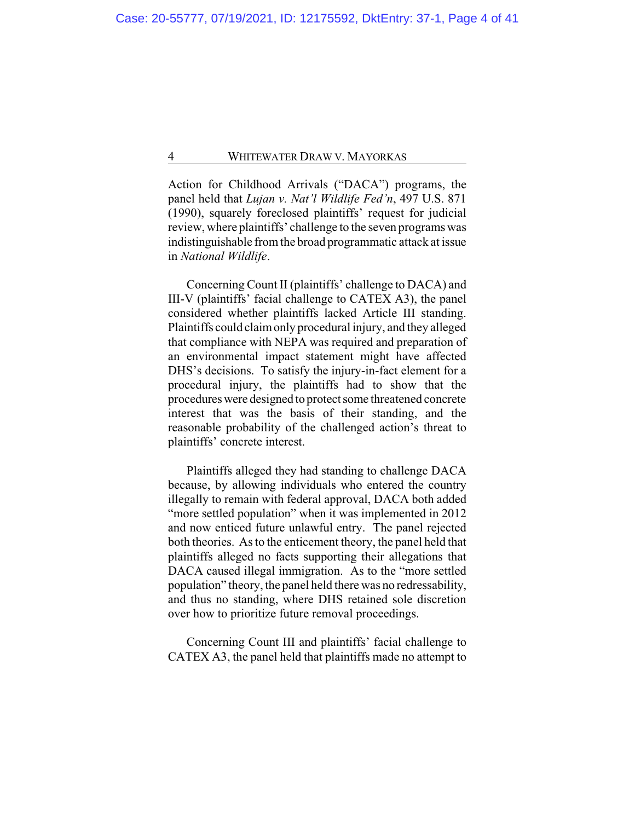Action for Childhood Arrivals ("DACA") programs, the panel held that *Lujan v. Nat'l Wildlife Fed'n*, 497 U.S. 871 (1990), squarely foreclosed plaintiffs' request for judicial review, where plaintiffs' challenge to the seven programs was indistinguishable fromthe broad programmatic attack at issue in *National Wildlife*.

Concerning Count II (plaintiffs' challenge to DACA) and III-V (plaintiffs' facial challenge to CATEX A3), the panel considered whether plaintiffs lacked Article III standing. Plaintiffs could claimonly procedural injury, and they alleged that compliance with NEPA was required and preparation of an environmental impact statement might have affected DHS's decisions. To satisfy the injury-in-fact element for a procedural injury, the plaintiffs had to show that the procedures were designed to protect some threatened concrete interest that was the basis of their standing, and the reasonable probability of the challenged action's threat to plaintiffs' concrete interest.

Plaintiffs alleged they had standing to challenge DACA because, by allowing individuals who entered the country illegally to remain with federal approval, DACA both added "more settled population" when it was implemented in 2012 and now enticed future unlawful entry. The panel rejected both theories. As to the enticement theory, the panel held that plaintiffs alleged no facts supporting their allegations that DACA caused illegal immigration. As to the "more settled population" theory, the panel held there was no redressability, and thus no standing, where DHS retained sole discretion over how to prioritize future removal proceedings.

Concerning Count III and plaintiffs' facial challenge to CATEX A3, the panel held that plaintiffs made no attempt to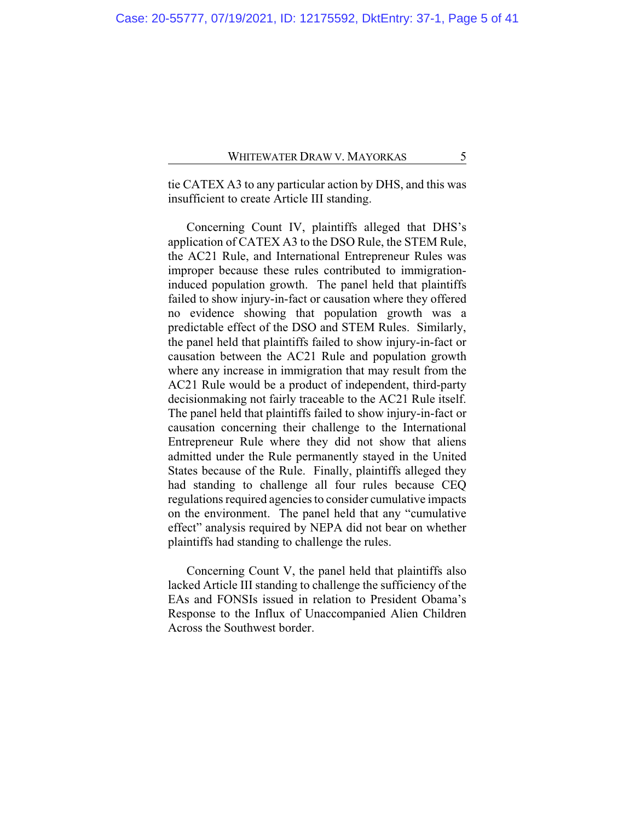tie CATEX A3 to any particular action by DHS, and this was insufficient to create Article III standing.

Concerning Count IV, plaintiffs alleged that DHS's application of CATEX A3 to the DSO Rule, the STEM Rule, the AC21 Rule, and International Entrepreneur Rules was improper because these rules contributed to immigrationinduced population growth. The panel held that plaintiffs failed to show injury-in-fact or causation where they offered no evidence showing that population growth was a predictable effect of the DSO and STEM Rules. Similarly, the panel held that plaintiffs failed to show injury-in-fact or causation between the AC21 Rule and population growth where any increase in immigration that may result from the AC21 Rule would be a product of independent, third-party decisionmaking not fairly traceable to the AC21 Rule itself. The panel held that plaintiffs failed to show injury-in-fact or causation concerning their challenge to the International Entrepreneur Rule where they did not show that aliens admitted under the Rule permanently stayed in the United States because of the Rule. Finally, plaintiffs alleged they had standing to challenge all four rules because CEQ regulations required agencies to consider cumulative impacts on the environment. The panel held that any "cumulative effect" analysis required by NEPA did not bear on whether plaintiffs had standing to challenge the rules.

Concerning Count V, the panel held that plaintiffs also lacked Article III standing to challenge the sufficiency of the EAs and FONSIs issued in relation to President Obama's Response to the Influx of Unaccompanied Alien Children Across the Southwest border.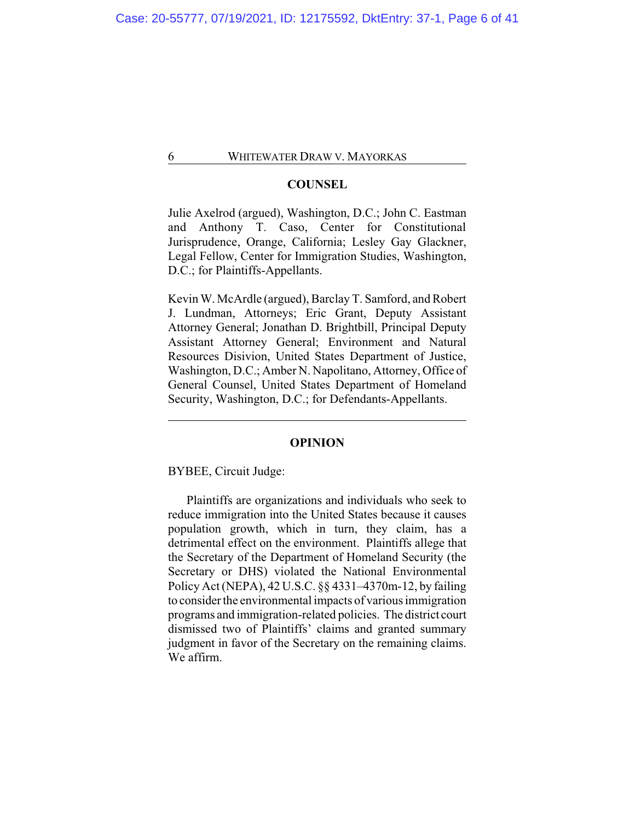#### **COUNSEL**

Julie Axelrod (argued), Washington, D.C.; John C. Eastman and Anthony T. Caso, Center for Constitutional Jurisprudence, Orange, California; Lesley Gay Glackner, Legal Fellow, Center for Immigration Studies, Washington, D.C.; for Plaintiffs-Appellants.

Kevin W. McArdle (argued), Barclay T. Samford, and Robert J. Lundman, Attorneys; Eric Grant, Deputy Assistant Attorney General; Jonathan D. Brightbill, Principal Deputy Assistant Attorney General; Environment and Natural Resources Disivion, United States Department of Justice, Washington, D.C.; Amber N. Napolitano, Attorney, Office of General Counsel, United States Department of Homeland Security, Washington, D.C.; for Defendants-Appellants.

#### **OPINION**

BYBEE, Circuit Judge:

Plaintiffs are organizations and individuals who seek to reduce immigration into the United States because it causes population growth, which in turn, they claim, has a detrimental effect on the environment. Plaintiffs allege that the Secretary of the Department of Homeland Security (the Secretary or DHS) violated the National Environmental Policy Act (NEPA), 42 U.S.C. §§ 4331–4370m-12, by failing to consider the environmental impacts of various immigration programs and immigration-related policies. The district court dismissed two of Plaintiffs' claims and granted summary judgment in favor of the Secretary on the remaining claims. We affirm.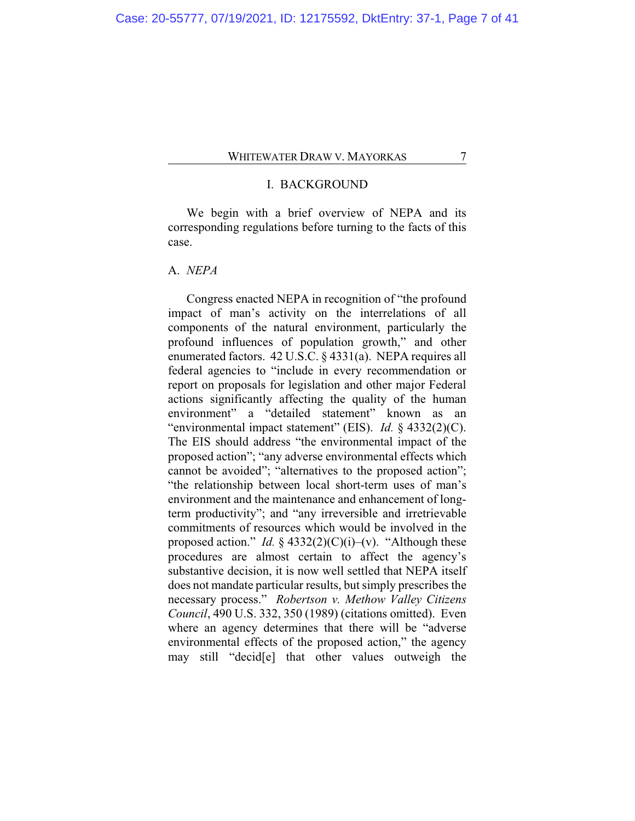## I. BACKGROUND

We begin with a brief overview of NEPA and its corresponding regulations before turning to the facts of this case.

## A. *NEPA*

Congress enacted NEPA in recognition of "the profound impact of man's activity on the interrelations of all components of the natural environment, particularly the profound influences of population growth," and other enumerated factors. 42 U.S.C. § 4331(a). NEPA requires all federal agencies to "include in every recommendation or report on proposals for legislation and other major Federal actions significantly affecting the quality of the human environment" a "detailed statement" known as an "environmental impact statement" (EIS). *Id.* § 4332(2)(C). The EIS should address "the environmental impact of the proposed action"; "any adverse environmental effects which cannot be avoided"; "alternatives to the proposed action"; "the relationship between local short-term uses of man's environment and the maintenance and enhancement of longterm productivity"; and "any irreversible and irretrievable commitments of resources which would be involved in the proposed action." *Id.*  $\S$  4332(2)(C)(i)–(v). "Although these procedures are almost certain to affect the agency's substantive decision, it is now well settled that NEPA itself does not mandate particular results, but simply prescribes the necessary process." *Robertson v. Methow Valley Citizens Council*, 490 U.S. 332, 350 (1989) (citations omitted). Even where an agency determines that there will be "adverse environmental effects of the proposed action," the agency may still "decid[e] that other values outweigh the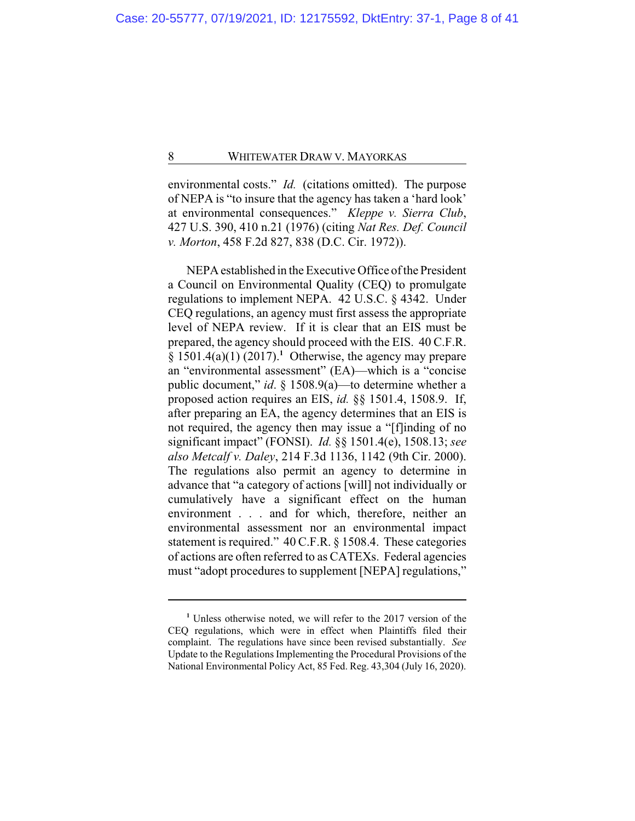environmental costs." *Id.* (citations omitted). The purpose of NEPA is "to insure that the agency has taken a 'hard look' at environmental consequences." *Kleppe v. Sierra Club*, 427 U.S. 390, 410 n.21 (1976) (citing *Nat Res. Def. Council v. Morton*, 458 F.2d 827, 838 (D.C. Cir. 1972)).

NEPAestablished in the Executive Office of the President a Council on Environmental Quality (CEQ) to promulgate regulations to implement NEPA. 42 U.S.C. § 4342. Under CEQ regulations, an agency must first assess the appropriate level of NEPA review. If it is clear that an EIS must be prepared, the agency should proceed with the EIS. 40 C.F.R.  $§ 1501.4(a)(1) (2017).<sup>1</sup> Otherwise, the agency may prepare$ an "environmental assessment" (EA)—which is a "concise public document," *id*. § 1508.9(a)—to determine whether a proposed action requires an EIS, *id.* §§ 1501.4, 1508.9. If, after preparing an EA, the agency determines that an EIS is not required, the agency then may issue a "[f]inding of no significant impact" (FONSI). *Id.* §§ 1501.4(e), 1508.13; *see also Metcalf v. Daley*, 214 F.3d 1136, 1142 (9th Cir. 2000). The regulations also permit an agency to determine in advance that "a category of actions [will] not individually or cumulatively have a significant effect on the human environment . . . and for which, therefore, neither an environmental assessment nor an environmental impact statement is required." 40 C.F.R. § 1508.4. These categories of actions are often referred to as CATEXs. Federal agencies must "adopt procedures to supplement [NEPA] regulations,"

**<sup>1</sup>** Unless otherwise noted, we will refer to the 2017 version of the CEQ regulations, which were in effect when Plaintiffs filed their complaint. The regulations have since been revised substantially. *See* Update to the Regulations Implementing the Procedural Provisions of the National Environmental Policy Act, 85 Fed. Reg. 43,304 (July 16, 2020).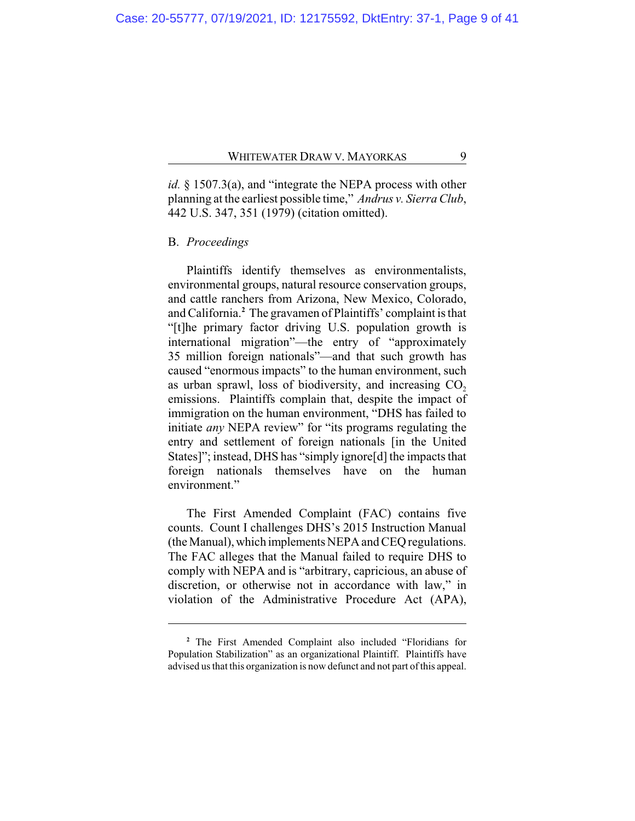*id.* § 1507.3(a), and "integrate the NEPA process with other planning at the earliest possible time," *Andrus v. Sierra Club*, 442 U.S. 347, 351 (1979) (citation omitted).

### B. *Proceedings*

Plaintiffs identify themselves as environmentalists, environmental groups, natural resource conservation groups, and cattle ranchers from Arizona, New Mexico, Colorado, and California.**<sup>2</sup>** The gravamen of Plaintiffs' complaint is that "[t]he primary factor driving U.S. population growth is international migration"—the entry of "approximately 35 million foreign nationals"—and that such growth has caused "enormous impacts" to the human environment, such as urban sprawl, loss of biodiversity, and increasing  $CO<sub>2</sub>$ emissions. Plaintiffs complain that, despite the impact of immigration on the human environment, "DHS has failed to initiate *any* NEPA review" for "its programs regulating the entry and settlement of foreign nationals [in the United States]"; instead, DHS has "simply ignore[d] the impacts that foreign nationals themselves have on the human environment."

The First Amended Complaint (FAC) contains five counts. Count I challenges DHS's 2015 Instruction Manual (the Manual),which implements NEPA and CEQ regulations. The FAC alleges that the Manual failed to require DHS to comply with NEPA and is "arbitrary, capricious, an abuse of discretion, or otherwise not in accordance with law," in violation of the Administrative Procedure Act (APA),

**<sup>2</sup>** The First Amended Complaint also included "Floridians for Population Stabilization" as an organizational Plaintiff. Plaintiffs have advised us that this organization is now defunct and not part of this appeal.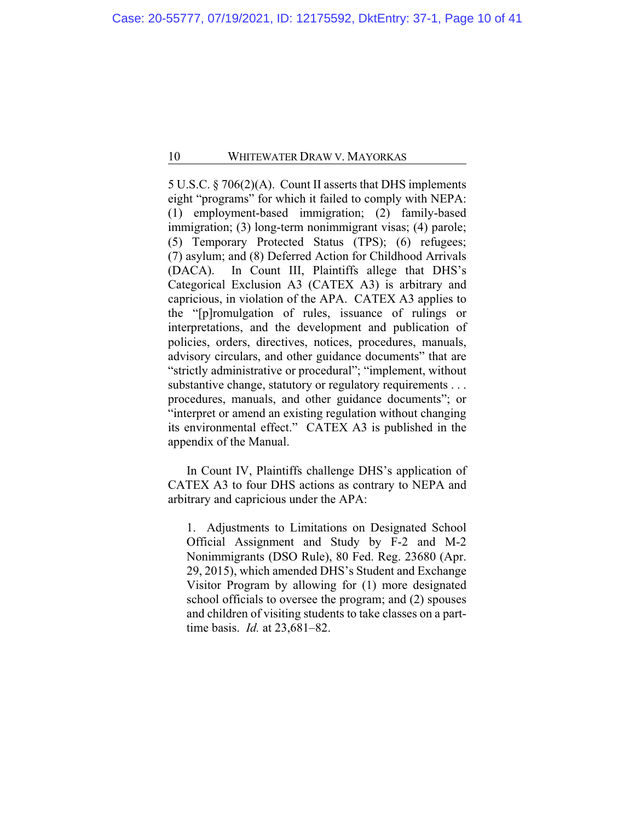5 U.S.C. § 706(2)(A). Count II asserts that DHS implements eight "programs" for which it failed to comply with NEPA: (1) employment-based immigration; (2) family-based immigration; (3) long-term nonimmigrant visas; (4) parole; (5) Temporary Protected Status (TPS); (6) refugees; (7) asylum; and (8) Deferred Action for Childhood Arrivals (DACA). In Count III, Plaintiffs allege that DHS's Categorical Exclusion A3 (CATEX A3) is arbitrary and capricious, in violation of the APA. CATEX A3 applies to the "[p]romulgation of rules, issuance of rulings or interpretations, and the development and publication of policies, orders, directives, notices, procedures, manuals, advisory circulars, and other guidance documents" that are "strictly administrative or procedural"; "implement, without substantive change, statutory or regulatory requirements . . . procedures, manuals, and other guidance documents"; or "interpret or amend an existing regulation without changing its environmental effect." CATEX A3 is published in the appendix of the Manual.

In Count IV, Plaintiffs challenge DHS's application of CATEX A3 to four DHS actions as contrary to NEPA and arbitrary and capricious under the APA:

1. Adjustments to Limitations on Designated School Official Assignment and Study by F-2 and M-2 Nonimmigrants (DSO Rule), 80 Fed. Reg. 23680 (Apr. 29, 2015), which amended DHS's Student and Exchange Visitor Program by allowing for (1) more designated school officials to oversee the program; and (2) spouses and children of visiting students to take classes on a parttime basis. *Id.* at 23,681–82.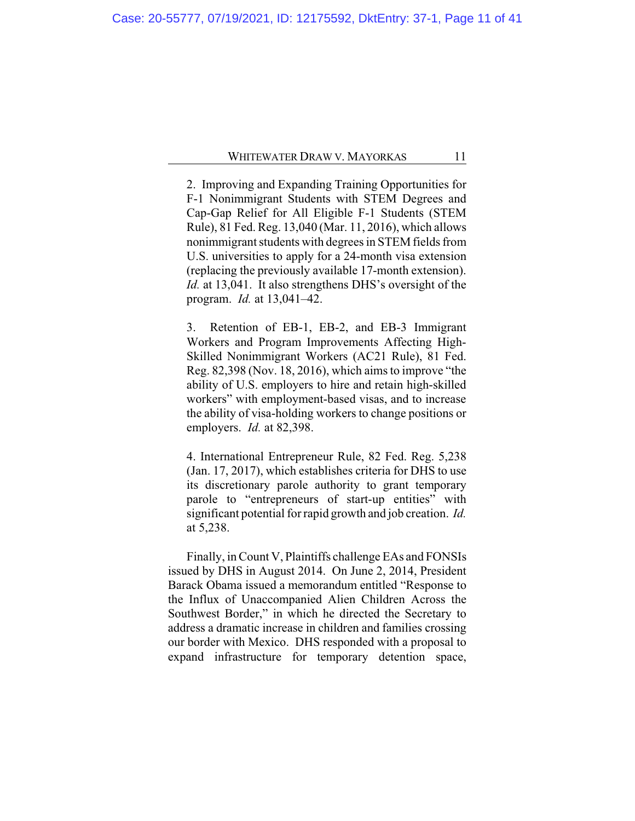2. Improving and Expanding Training Opportunities for F-1 Nonimmigrant Students with STEM Degrees and Cap-Gap Relief for All Eligible F-1 Students (STEM Rule), 81 Fed. Reg. 13,040 (Mar. 11, 2016), which allows nonimmigrant students with degrees in STEM fields from U.S. universities to apply for a 24-month visa extension (replacing the previously available 17-month extension). *Id.* at 13,041. It also strengthens DHS's oversight of the program. *Id.* at 13,041–42.

3. Retention of EB-1, EB-2, and EB-3 Immigrant Workers and Program Improvements Affecting High-Skilled Nonimmigrant Workers (AC21 Rule), 81 Fed. Reg. 82,398 (Nov. 18, 2016), which aims to improve "the ability of U.S. employers to hire and retain high-skilled workers" with employment-based visas, and to increase the ability of visa-holding workers to change positions or employers. *Id.* at 82,398.

4. International Entrepreneur Rule, 82 Fed. Reg. 5,238 (Jan. 17, 2017), which establishes criteria for DHS to use its discretionary parole authority to grant temporary parole to "entrepreneurs of start-up entities" with significant potential for rapid growth and job creation. *Id.* at 5,238.

Finally, in Count V, Plaintiffs challenge EAs and FONSIs issued by DHS in August 2014. On June 2, 2014, President Barack Obama issued a memorandum entitled "Response to the Influx of Unaccompanied Alien Children Across the Southwest Border," in which he directed the Secretary to address a dramatic increase in children and families crossing our border with Mexico. DHS responded with a proposal to expand infrastructure for temporary detention space,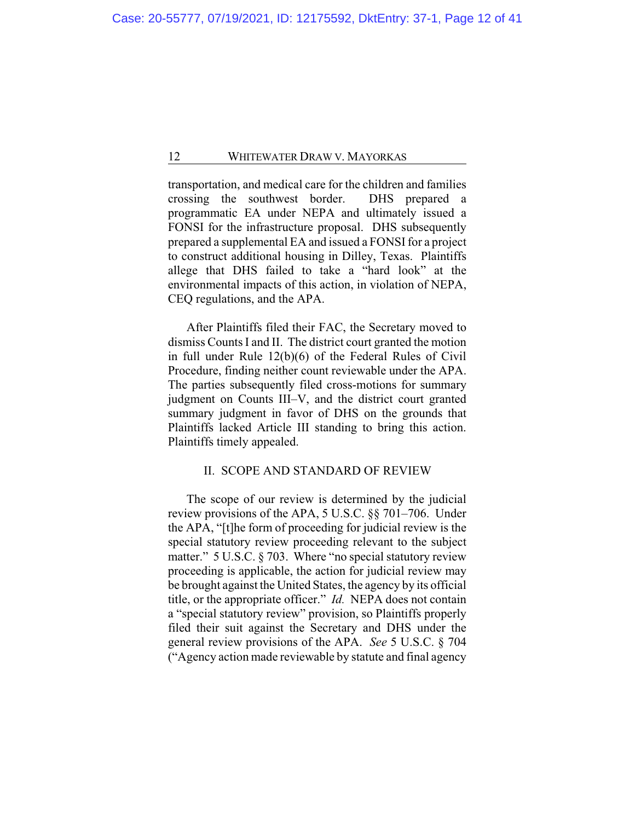transportation, and medical care for the children and families crossing the southwest border. DHS prepared a programmatic EA under NEPA and ultimately issued a FONSI for the infrastructure proposal. DHS subsequently prepared a supplemental EA and issued a FONSI for a project to construct additional housing in Dilley, Texas. Plaintiffs allege that DHS failed to take a "hard look" at the environmental impacts of this action, in violation of NEPA, CEQ regulations, and the APA.

After Plaintiffs filed their FAC, the Secretary moved to dismiss Counts I and II. The district court granted the motion in full under Rule 12(b)(6) of the Federal Rules of Civil Procedure, finding neither count reviewable under the APA. The parties subsequently filed cross-motions for summary judgment on Counts III–V, and the district court granted summary judgment in favor of DHS on the grounds that Plaintiffs lacked Article III standing to bring this action. Plaintiffs timely appealed.

#### II. SCOPE AND STANDARD OF REVIEW

The scope of our review is determined by the judicial review provisions of the APA, 5 U.S.C. §§ 701–706. Under the APA, "[t]he form of proceeding for judicial review is the special statutory review proceeding relevant to the subject matter." 5 U.S.C. § 703. Where "no special statutory review proceeding is applicable, the action for judicial review may be brought against the United States, the agency by its official title, or the appropriate officer." *Id.* NEPA does not contain a "special statutory review" provision, so Plaintiffs properly filed their suit against the Secretary and DHS under the general review provisions of the APA. *See* 5 U.S.C. § 704 ("Agency action made reviewable by statute and final agency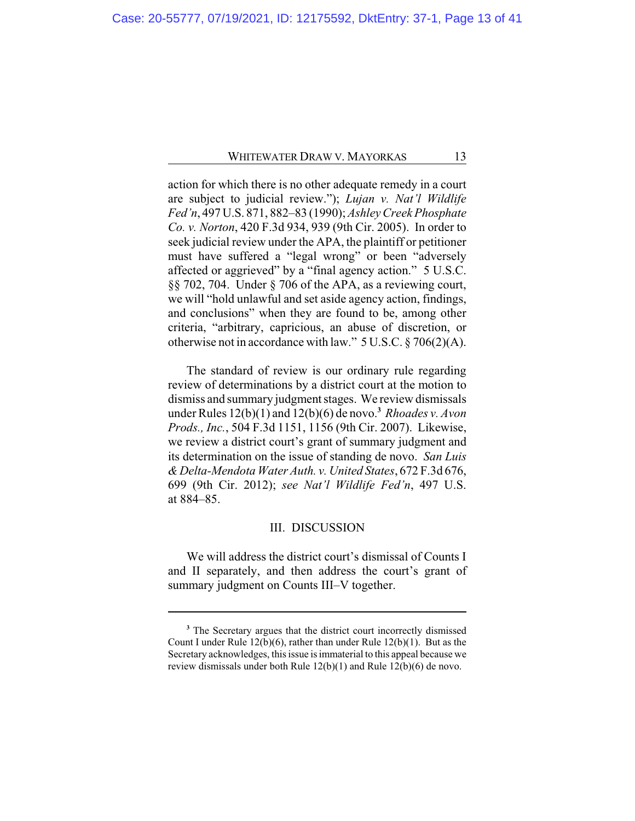action for which there is no other adequate remedy in a court are subject to judicial review."); *Lujan v. Nat'l Wildlife Fed'n*, 497 U.S. 871, 882–83 (1990); *Ashley Creek Phosphate Co. v. Norton*, 420 F.3d 934, 939 (9th Cir. 2005). In order to seek judicial review under the APA, the plaintiff or petitioner must have suffered a "legal wrong" or been "adversely affected or aggrieved" by a "final agency action." 5 U.S.C. §§ 702, 704. Under § 706 of the APA, as a reviewing court, we will "hold unlawful and set aside agency action, findings, and conclusions" when they are found to be, among other criteria, "arbitrary, capricious, an abuse of discretion, or otherwise not in accordance with law." 5 U.S.C. § 706(2)(A).

The standard of review is our ordinary rule regarding review of determinations by a district court at the motion to dismiss and summary judgment stages. We review dismissals under Rules 12(b)(1) and 12(b)(6) de novo.**<sup>3</sup>** *Rhoades v. Avon Prods., Inc.*, 504 F.3d 1151, 1156 (9th Cir. 2007). Likewise, we review a district court's grant of summary judgment and its determination on the issue of standing de novo. *San Luis & Delta-Mendota Water Auth. v. United States*, 672 F.3d 676, 699 (9th Cir. 2012); *see Nat'l Wildlife Fed'n*, 497 U.S. at 884–85.

#### III. DISCUSSION

We will address the district court's dismissal of Counts I and II separately, and then address the court's grant of summary judgment on Counts III–V together.

**<sup>3</sup>** The Secretary argues that the district court incorrectly dismissed Count I under Rule 12(b)(6), rather than under Rule 12(b)(1). But as the Secretary acknowledges, this issue is immaterial to this appeal because we review dismissals under both Rule 12(b)(1) and Rule 12(b)(6) de novo.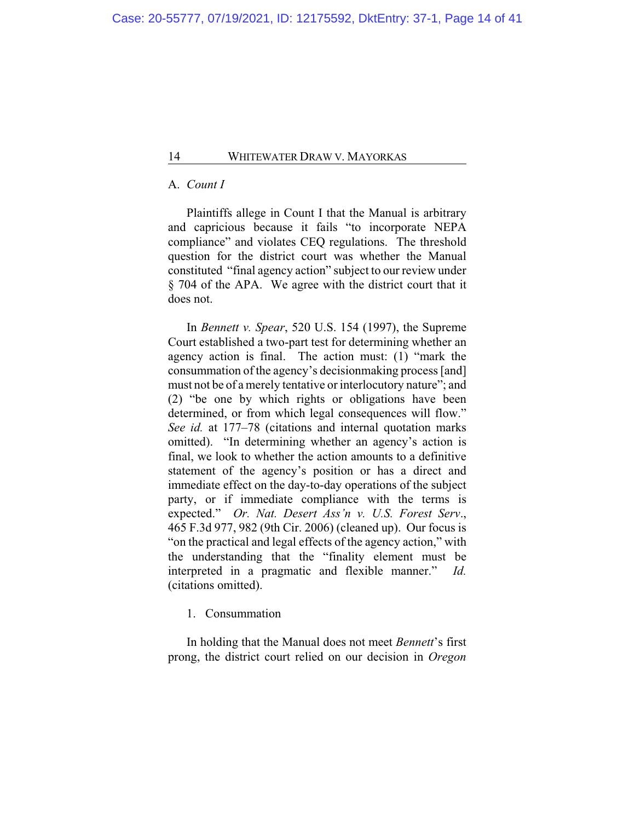## A. *Count I*

Plaintiffs allege in Count I that the Manual is arbitrary and capricious because it fails "to incorporate NEPA compliance" and violates CEQ regulations. The threshold question for the district court was whether the Manual constituted "final agency action" subject to our review under § 704 of the APA. We agree with the district court that it does not.

In *Bennett v. Spear*, 520 U.S. 154 (1997), the Supreme Court established a two-part test for determining whether an agency action is final. The action must: (1) "mark the consummation of the agency's decisionmaking process [and] must not be of a merely tentative or interlocutory nature"; and (2) "be one by which rights or obligations have been determined, or from which legal consequences will flow." *See id.* at 177–78 (citations and internal quotation marks omitted). "In determining whether an agency's action is final, we look to whether the action amounts to a definitive statement of the agency's position or has a direct and immediate effect on the day-to-day operations of the subject party, or if immediate compliance with the terms is expected." *Or. Nat. Desert Ass'n v. U.S. Forest Serv*., 465 F.3d 977, 982 (9th Cir. 2006) (cleaned up). Our focus is "on the practical and legal effects of the agency action," with the understanding that the "finality element must be interpreted in a pragmatic and flexible manner." *Id.* (citations omitted).

1. Consummation

In holding that the Manual does not meet *Bennett*'s first prong, the district court relied on our decision in *Oregon*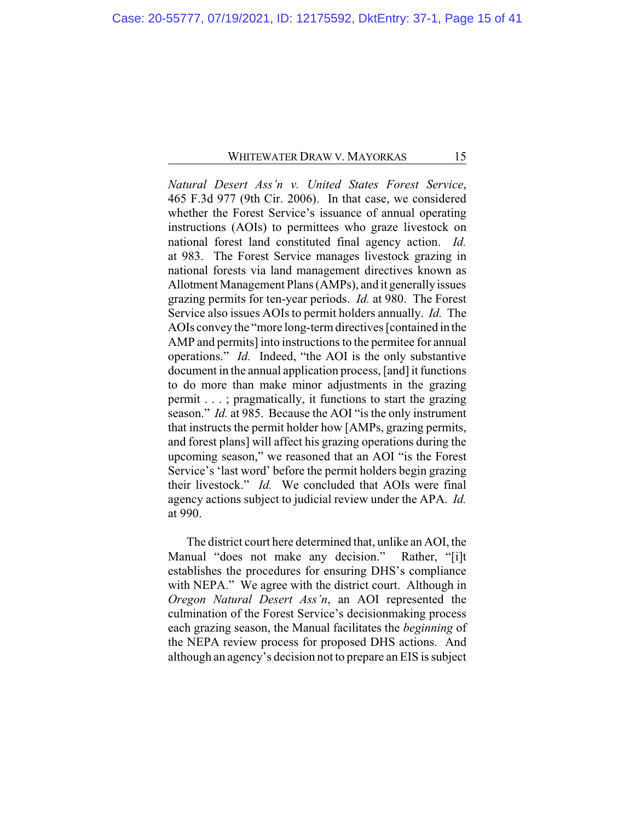*Natural Desert Ass'n v. United States Forest Service*, 465 F.3d 977 (9th Cir. 2006). In that case, we considered whether the Forest Service's issuance of annual operating instructions (AOIs) to permittees who graze livestock on national forest land constituted final agency action. *Id.* at 983. The Forest Service manages livestock grazing in national forests via land management directives known as Allotment Management Plans (AMPs), and it generally issues grazing permits for ten-year periods. *Id.* at 980. The Forest Service also issues AOIs to permit holders annually. *Id.* The AOIs convey the "more long-termdirectives [contained in the AMP and permits] into instructions to the permitee for annual operations." *Id.* Indeed, "the AOI is the only substantive document in the annual application process, [and] it functions to do more than make minor adjustments in the grazing permit . . . ; pragmatically, it functions to start the grazing season." *Id.* at 985. Because the AOI "is the only instrument that instructs the permit holder how [AMPs, grazing permits, and forest plans] will affect his grazing operations during the upcoming season," we reasoned that an AOI "is the Forest Service's 'last word' before the permit holders begin grazing their livestock." *Id.* We concluded that AOIs were final agency actions subject to judicial review under the APA. *Id.* at 990.

The district court here determined that, unlike an AOI, the Manual "does not make any decision." Rather, "[i]t establishes the procedures for ensuring DHS's compliance with NEPA." We agree with the district court. Although in *Oregon Natural Desert Ass'n*, an AOI represented the culmination of the Forest Service's decisionmaking process each grazing season, the Manual facilitates the *beginning* of the NEPA review process for proposed DHS actions. And although an agency's decision not to prepare an EIS is subject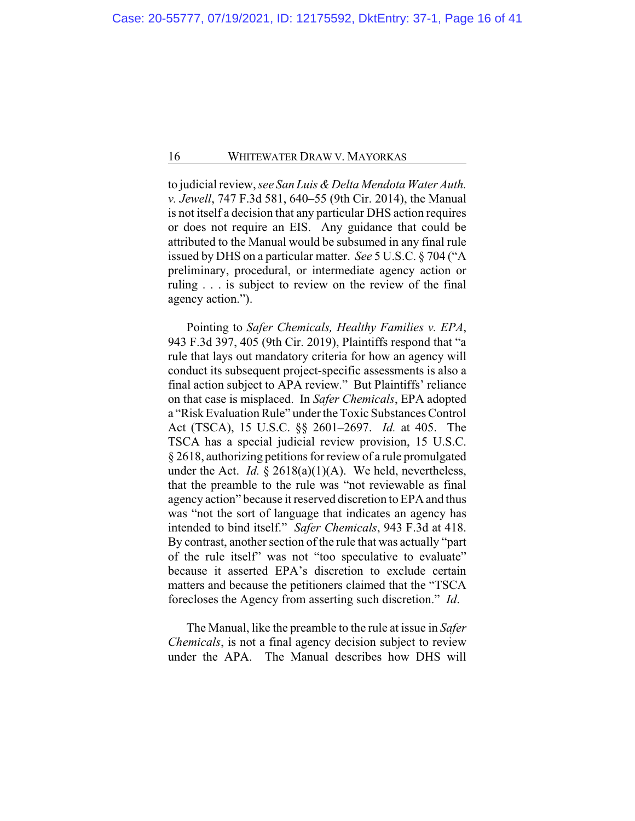to judicial review, *see San Luis & Delta Mendota Water Auth. v. Jewell*, 747 F.3d 581, 640–55 (9th Cir. 2014), the Manual is not itself a decision that any particular DHS action requires or does not require an EIS. Any guidance that could be attributed to the Manual would be subsumed in any final rule issued by DHS on a particular matter. *See* 5 U.S.C. § 704 ("A preliminary, procedural, or intermediate agency action or ruling . . . is subject to review on the review of the final agency action.").

Pointing to *Safer Chemicals, Healthy Families v. EPA*, 943 F.3d 397, 405 (9th Cir. 2019), Plaintiffs respond that "a rule that lays out mandatory criteria for how an agency will conduct its subsequent project-specific assessments is also a final action subject to APA review." But Plaintiffs' reliance on that case is misplaced. In *Safer Chemicals*, EPA adopted a "Risk Evaluation Rule" under the Toxic Substances Control Act (TSCA), 15 U.S.C. §§ 2601–2697. *Id.* at 405. The TSCA has a special judicial review provision, 15 U.S.C. § 2618, authorizing petitions for review of a rule promulgated under the Act. *Id.* § 2618(a)(1)(A). We held, nevertheless, that the preamble to the rule was "not reviewable as final agency action" because it reserved discretion to EPA and thus was "not the sort of language that indicates an agency has intended to bind itself." *Safer Chemicals*, 943 F.3d at 418. By contrast, another section of the rule that was actually "part of the rule itself" was not "too speculative to evaluate" because it asserted EPA's discretion to exclude certain matters and because the petitioners claimed that the "TSCA forecloses the Agency from asserting such discretion." *Id*.

The Manual, like the preamble to the rule at issue in *Safer Chemicals*, is not a final agency decision subject to review under the APA. The Manual describes how DHS will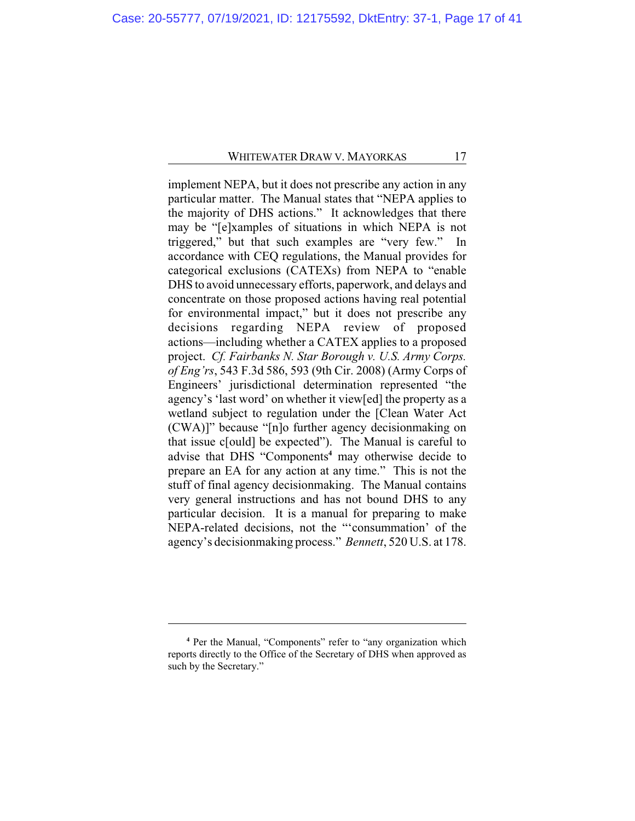implement NEPA, but it does not prescribe any action in any particular matter. The Manual states that "NEPA applies to the majority of DHS actions." It acknowledges that there may be "[e]xamples of situations in which NEPA is not triggered," but that such examples are "very few." In accordance with CEQ regulations, the Manual provides for categorical exclusions (CATEXs) from NEPA to "enable DHS to avoid unnecessary efforts, paperwork, and delays and concentrate on those proposed actions having real potential for environmental impact," but it does not prescribe any decisions regarding NEPA review of proposed actions—including whether a CATEX applies to a proposed project. *Cf. Fairbanks N. Star Borough v. U.S. Army Corps. of Eng'rs*, 543 F.3d 586, 593 (9th Cir. 2008) (Army Corps of Engineers' jurisdictional determination represented "the agency's 'last word' on whether it view[ed] the property as a wetland subject to regulation under the [Clean Water Act (CWA)]" because "[n]o further agency decisionmaking on that issue c[ould] be expected"). The Manual is careful to advise that DHS "Components**<sup>4</sup>** may otherwise decide to prepare an EA for any action at any time." This is not the stuff of final agency decisionmaking. The Manual contains very general instructions and has not bound DHS to any particular decision. It is a manual for preparing to make NEPA-related decisions, not the "'consummation' of the agency's decisionmaking process." *Bennett*, 520 U.S. at 178.

**<sup>4</sup>** Per the Manual, "Components" refer to "any organization which reports directly to the Office of the Secretary of DHS when approved as such by the Secretary."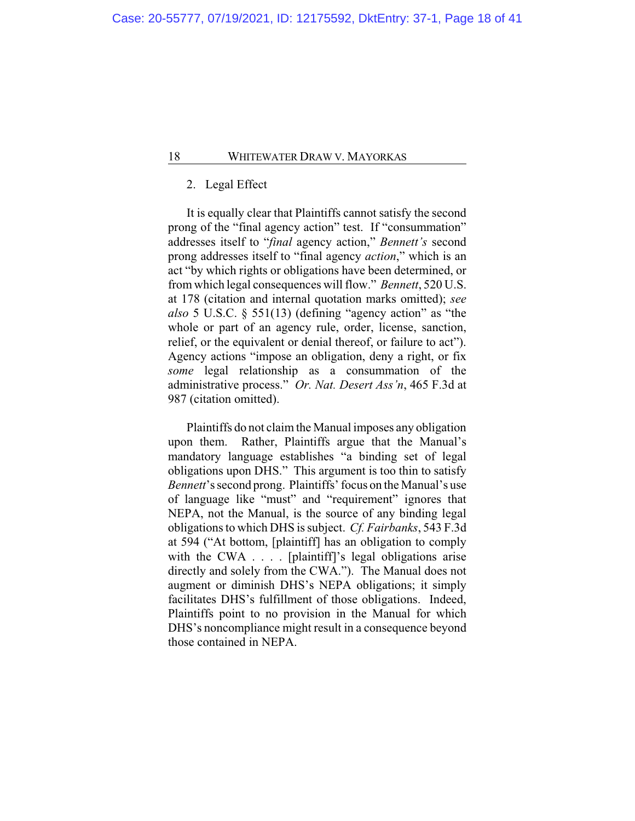## 2. Legal Effect

It is equally clear that Plaintiffs cannot satisfy the second prong of the "final agency action" test. If "consummation" addresses itself to "*final* agency action," *Bennett's* second prong addresses itself to "final agency *action*," which is an act "by which rights or obligations have been determined, or from which legal consequences will flow." *Bennett*, 520 U.S. at 178 (citation and internal quotation marks omitted); *see also* 5 U.S.C. § 551(13) (defining "agency action" as "the whole or part of an agency rule, order, license, sanction, relief, or the equivalent or denial thereof, or failure to act"). Agency actions "impose an obligation, deny a right, or fix *some* legal relationship as a consummation of the administrative process." *Or. Nat. Desert Ass'n*, 465 F.3d at 987 (citation omitted).

Plaintiffs do not claim the Manual imposes any obligation upon them. Rather, Plaintiffs argue that the Manual's mandatory language establishes "a binding set of legal obligations upon DHS." This argument is too thin to satisfy *Bennett*'s second prong. Plaintiffs' focus on the Manual's use of language like "must" and "requirement" ignores that NEPA, not the Manual, is the source of any binding legal obligations to which DHS is subject. *Cf. Fairbanks*, 543 F.3d at 594 ("At bottom, [plaintiff] has an obligation to comply with the CWA . . . . [plaintiff]'s legal obligations arise directly and solely from the CWA."). The Manual does not augment or diminish DHS's NEPA obligations; it simply facilitates DHS's fulfillment of those obligations. Indeed, Plaintiffs point to no provision in the Manual for which DHS's noncompliance might result in a consequence beyond those contained in NEPA.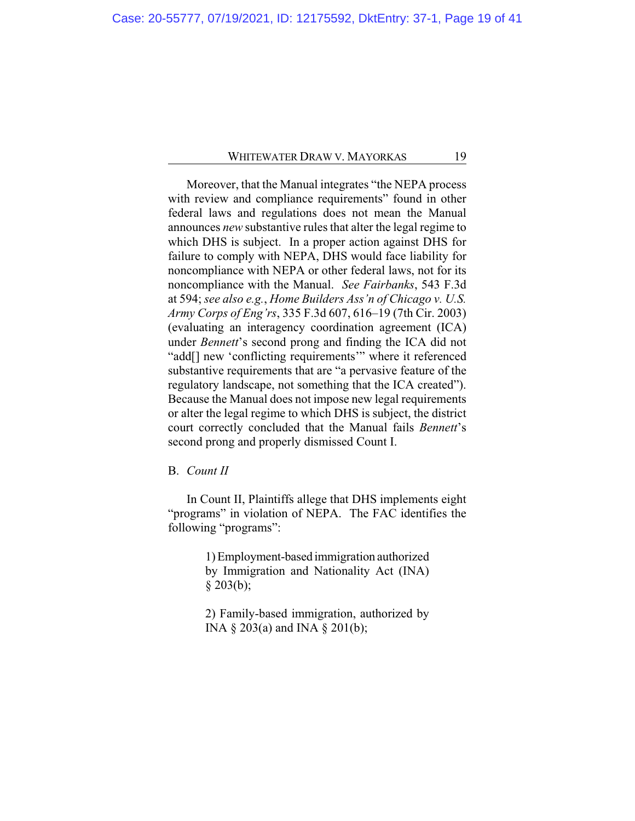Moreover, that the Manual integrates "the NEPA process with review and compliance requirements" found in other federal laws and regulations does not mean the Manual announces *new* substantive rules that alter the legal regime to which DHS is subject. In a proper action against DHS for failure to comply with NEPA, DHS would face liability for noncompliance with NEPA or other federal laws, not for its noncompliance with the Manual. *See Fairbanks*, 543 F.3d at 594; *see also e.g.*, *Home Builders Ass'n of Chicago v. U.S. Army Corps of Eng'rs*, 335 F.3d 607, 616–19 (7th Cir. 2003) (evaluating an interagency coordination agreement (ICA) under *Bennett*'s second prong and finding the ICA did not "add[] new 'conflicting requirements'" where it referenced substantive requirements that are "a pervasive feature of the regulatory landscape, not something that the ICA created"). Because the Manual does not impose new legal requirements or alter the legal regime to which DHS is subject, the district court correctly concluded that the Manual fails *Bennett*'s second prong and properly dismissed Count I.

B. *Count II*

In Count II, Plaintiffs allege that DHS implements eight "programs" in violation of NEPA. The FAC identifies the following "programs":

> 1) Employment-based immigration authorized by Immigration and Nationality Act (INA)  $§$  203(b);

> 2) Family-based immigration, authorized by INA § 203(a) and INA § 201(b);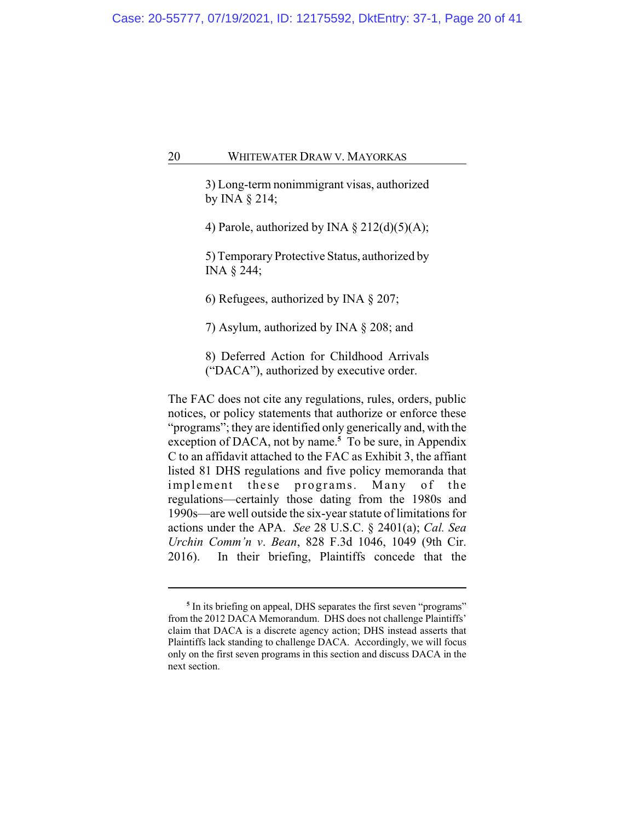3) Long-term nonimmigrant visas, authorized by INA § 214;

4) Parole, authorized by INA  $\S 212(d)(5)(A);$ 

5) Temporary Protective Status, authorized by INA § 244;

6) Refugees, authorized by INA § 207;

7) Asylum, authorized by INA § 208; and

8) Deferred Action for Childhood Arrivals ("DACA"), authorized by executive order.

The FAC does not cite any regulations, rules, orders, public notices, or policy statements that authorize or enforce these "programs"; they are identified only generically and, with the exception of DACA, not by name.**<sup>5</sup>** To be sure, in Appendix C to an affidavit attached to the FAC as Exhibit 3, the affiant listed 81 DHS regulations and five policy memoranda that implement these programs. Many of the regulations—certainly those dating from the 1980s and 1990s—are well outside the six-year statute of limitations for actions under the APA. *See* 28 U.S.C. § 2401(a); *Cal. Sea Urchin Comm'n v*. *Bean*, 828 F.3d 1046, 1049 (9th Cir. 2016). In their briefing, Plaintiffs concede that the

<sup>&</sup>lt;sup>5</sup> In its briefing on appeal, DHS separates the first seven "programs" from the 2012 DACA Memorandum. DHS does not challenge Plaintiffs' claim that DACA is a discrete agency action; DHS instead asserts that Plaintiffs lack standing to challenge DACA. Accordingly, we will focus only on the first seven programs in this section and discuss DACA in the next section.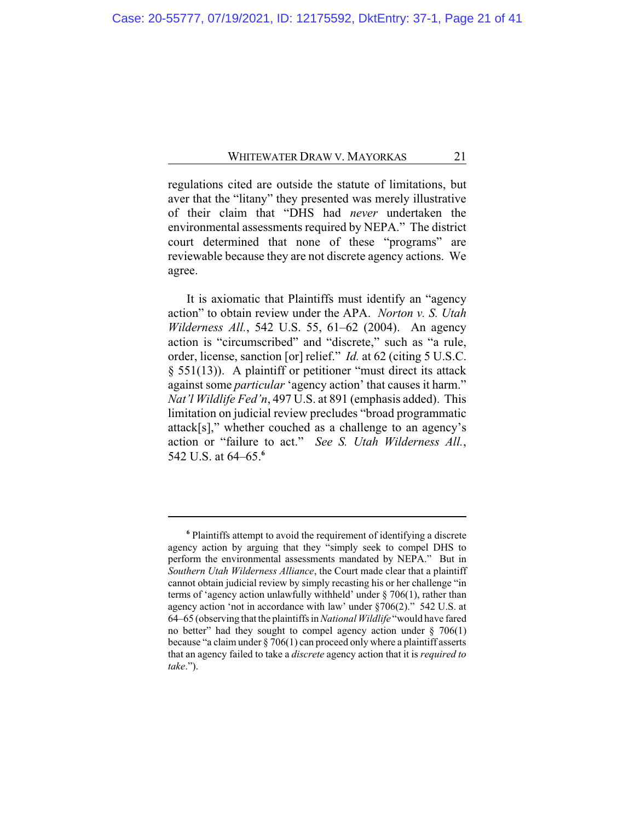regulations cited are outside the statute of limitations, but aver that the "litany" they presented was merely illustrative of their claim that "DHS had *never* undertaken the environmental assessments required by NEPA." The district court determined that none of these "programs" are reviewable because they are not discrete agency actions. We agree.

It is axiomatic that Plaintiffs must identify an "agency action" to obtain review under the APA. *Norton v. S. Utah Wilderness All.*, 542 U.S. 55, 61–62 (2004). An agency action is "circumscribed" and "discrete," such as "a rule, order, license, sanction [or] relief." *Id.* at 62 (citing 5 U.S.C. § 551(13)). A plaintiff or petitioner "must direct its attack against some *particular* 'agency action' that causes it harm." *Nat'l Wildlife Fed'n*, 497 U.S. at 891 (emphasis added). This limitation on judicial review precludes "broad programmatic attack[s]," whether couched as a challenge to an agency's action or "failure to act." *See S. Utah Wilderness All.*, 542 U.S. at 64–65.**<sup>6</sup>**

**<sup>6</sup>** Plaintiffs attempt to avoid the requirement of identifying a discrete agency action by arguing that they "simply seek to compel DHS to perform the environmental assessments mandated by NEPA." But in *Southern Utah Wilderness Alliance*, the Court made clear that a plaintiff cannot obtain judicial review by simply recasting his or her challenge "in terms of 'agency action unlawfully withheld' under § 706(1), rather than agency action 'not in accordance with law' under §706(2)." 542 U.S. at 64–65 (observing that the plaintiffs in *National Wildlife* "would have fared no better" had they sought to compel agency action under  $\S$  706(1) because "a claim under  $\S 706(1)$  can proceed only where a plaintiff asserts that an agency failed to take a *discrete* agency action that it is *required to take*.").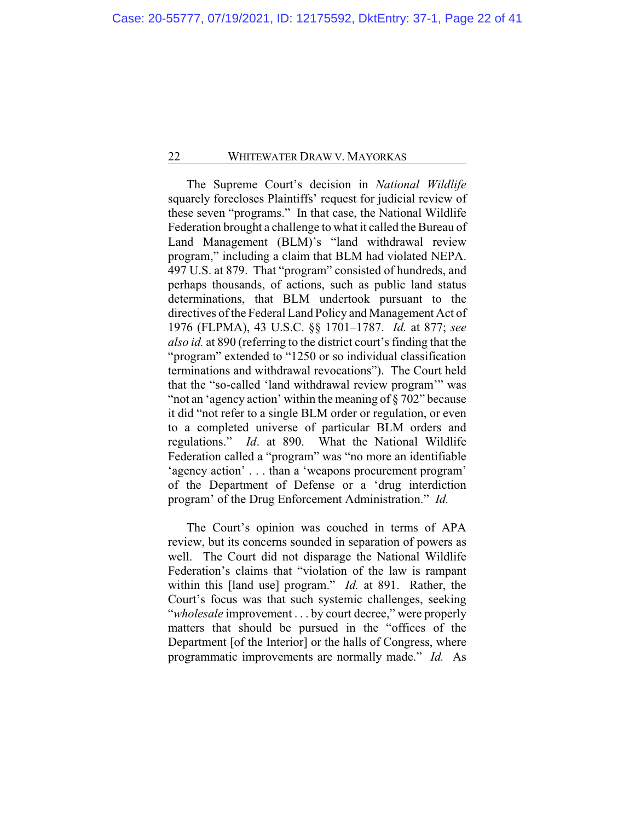The Supreme Court's decision in *National Wildlife* squarely forecloses Plaintiffs' request for judicial review of these seven "programs." In that case, the National Wildlife Federation brought a challenge to what it called the Bureau of Land Management (BLM)'s "land withdrawal review program," including a claim that BLM had violated NEPA. 497 U.S. at 879. That "program" consisted of hundreds, and perhaps thousands, of actions, such as public land status determinations, that BLM undertook pursuant to the directives of the Federal Land Policy and Management Act of 1976 (FLPMA), 43 U.S.C. §§ 1701–1787. *Id.* at 877; *see also id.* at 890 (referring to the district court's finding that the "program" extended to "1250 or so individual classification terminations and withdrawal revocations"). The Court held that the "so-called 'land withdrawal review program'" was "not an 'agency action' within the meaning of § 702" because it did "not refer to a single BLM order or regulation, or even to a completed universe of particular BLM orders and regulations." *Id*. at 890. What the National Wildlife Federation called a "program" was "no more an identifiable 'agency action' . . . than a 'weapons procurement program' of the Department of Defense or a 'drug interdiction program' of the Drug Enforcement Administration." *Id.*

The Court's opinion was couched in terms of APA review, but its concerns sounded in separation of powers as well. The Court did not disparage the National Wildlife Federation's claims that "violation of the law is rampant within this [land use] program." *Id.* at 891. Rather, the Court's focus was that such systemic challenges, seeking "*wholesale* improvement . . . by court decree," were properly matters that should be pursued in the "offices of the Department [of the Interior] or the halls of Congress, where programmatic improvements are normally made." *Id.* As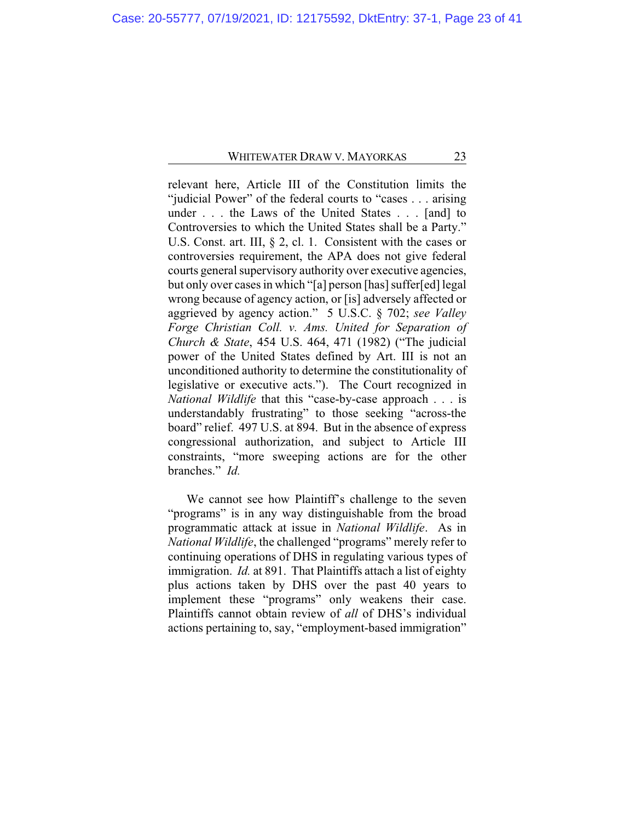relevant here, Article III of the Constitution limits the "judicial Power" of the federal courts to "cases . . . arising under . . . the Laws of the United States . . . [and] to Controversies to which the United States shall be a Party." U.S. Const. art. III, § 2, cl. 1. Consistent with the cases or controversies requirement, the APA does not give federal courts general supervisory authority over executive agencies, but only over cases in which "[a] person [has] suffer[ed] legal wrong because of agency action, or [is] adversely affected or aggrieved by agency action." 5 U.S.C. § 702; *see Valley Forge Christian Coll. v. Ams. United for Separation of Church & State*, 454 U.S. 464, 471 (1982) ("The judicial power of the United States defined by Art. III is not an unconditioned authority to determine the constitutionality of legislative or executive acts."). The Court recognized in *National Wildlife* that this "case-by-case approach . . . is understandably frustrating" to those seeking "across-the board" relief. 497 U.S. at 894. But in the absence of express congressional authorization, and subject to Article III constraints, "more sweeping actions are for the other branches." *Id.*

We cannot see how Plaintiff's challenge to the seven "programs" is in any way distinguishable from the broad programmatic attack at issue in *National Wildlife*. As in *National Wildlife*, the challenged "programs" merely refer to continuing operations of DHS in regulating various types of immigration. *Id.* at 891. That Plaintiffs attach a list of eighty plus actions taken by DHS over the past 40 years to implement these "programs" only weakens their case. Plaintiffs cannot obtain review of *all* of DHS's individual actions pertaining to, say, "employment-based immigration"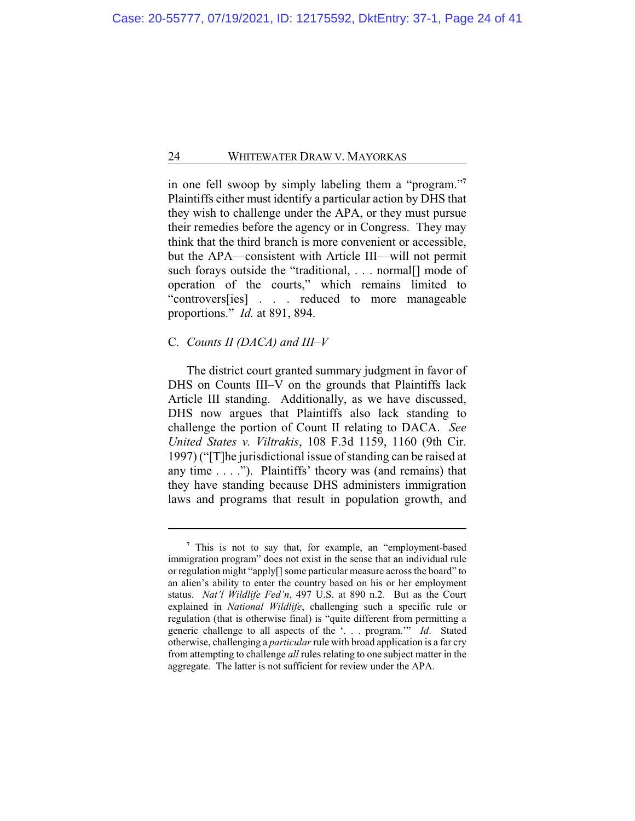in one fell swoop by simply labeling them a "program."**<sup>7</sup>** Plaintiffs either must identify a particular action by DHS that they wish to challenge under the APA, or they must pursue their remedies before the agency or in Congress. They may think that the third branch is more convenient or accessible, but the APA—consistent with Article III—will not permit such forays outside the "traditional, . . . normal node of operation of the courts," which remains limited to "controvers[ies] . . . reduced to more manageable proportions." *Id.* at 891, 894.

## C. *Counts II (DACA) and III–V*

The district court granted summary judgment in favor of DHS on Counts III–V on the grounds that Plaintiffs lack Article III standing. Additionally, as we have discussed, DHS now argues that Plaintiffs also lack standing to challenge the portion of Count II relating to DACA. *See United States v. Viltrakis*, 108 F.3d 1159, 1160 (9th Cir. 1997) ("[T]he jurisdictional issue of standing can be raised at any time . . . ."). Plaintiffs' theory was (and remains) that they have standing because DHS administers immigration laws and programs that result in population growth, and

**<sup>7</sup>** This is not to say that, for example, an "employment-based immigration program" does not exist in the sense that an individual rule or regulation might "apply[] some particular measure across the board" to an alien's ability to enter the country based on his or her employment status. *Nat'l Wildlife Fed'n*, 497 U.S. at 890 n.2. But as the Court explained in *National Wildlife*, challenging such a specific rule or regulation (that is otherwise final) is "quite different from permitting a generic challenge to all aspects of the '. . . program.'" *Id*. Stated otherwise, challenging a *particular*rule with broad application is a far cry from attempting to challenge *all* rules relating to one subject matter in the aggregate. The latter is not sufficient for review under the APA.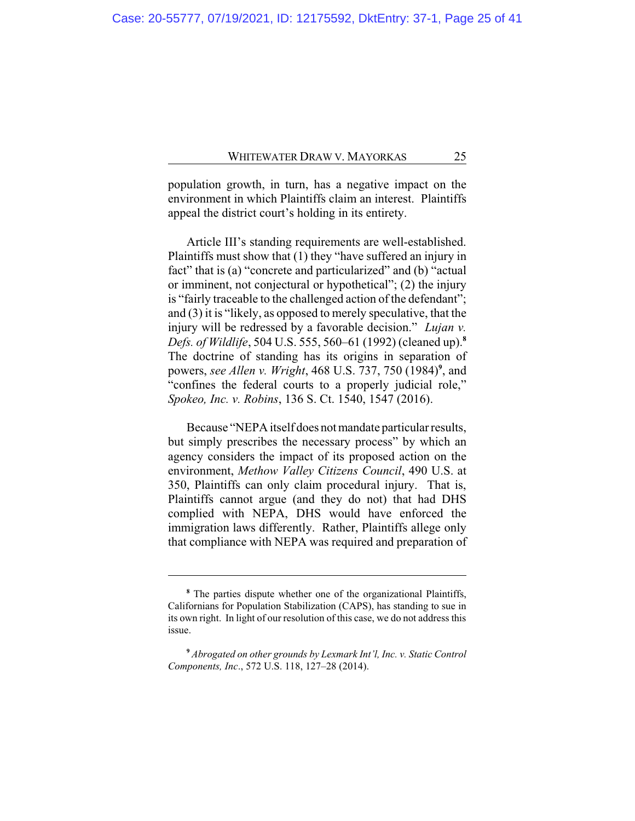population growth, in turn, has a negative impact on the environment in which Plaintiffs claim an interest. Plaintiffs appeal the district court's holding in its entirety.

Article III's standing requirements are well-established. Plaintiffs must show that (1) they "have suffered an injury in fact" that is (a) "concrete and particularized" and (b) "actual or imminent, not conjectural or hypothetical"; (2) the injury is "fairly traceable to the challenged action of the defendant"; and (3) it is "likely, as opposed to merely speculative, that the injury will be redressed by a favorable decision." *Lujan v. Defs. of Wildlife*, 504 U.S. 555, 560–61 (1992) (cleaned up).**<sup>8</sup>** The doctrine of standing has its origins in separation of powers, *see Allen v. Wright*, 468 U.S. 737, 750 (1984)**<sup>9</sup>** , and "confines the federal courts to a properly judicial role," *Spokeo, Inc. v. Robins*, 136 S. Ct. 1540, 1547 (2016).

Because "NEPA itself does not mandate particular results, but simply prescribes the necessary process" by which an agency considers the impact of its proposed action on the environment, *Methow Valley Citizens Council*, 490 U.S. at 350, Plaintiffs can only claim procedural injury. That is, Plaintiffs cannot argue (and they do not) that had DHS complied with NEPA, DHS would have enforced the immigration laws differently. Rather, Plaintiffs allege only that compliance with NEPA was required and preparation of

**<sup>8</sup>** The parties dispute whether one of the organizational Plaintiffs, Californians for Population Stabilization (CAPS), has standing to sue in its own right. In light of our resolution of this case, we do not address this issue.

**<sup>9</sup>** *Abrogated on other grounds by Lexmark Int'l, Inc. v. Static Control Components, Inc*., 572 U.S. 118, 127–28 (2014).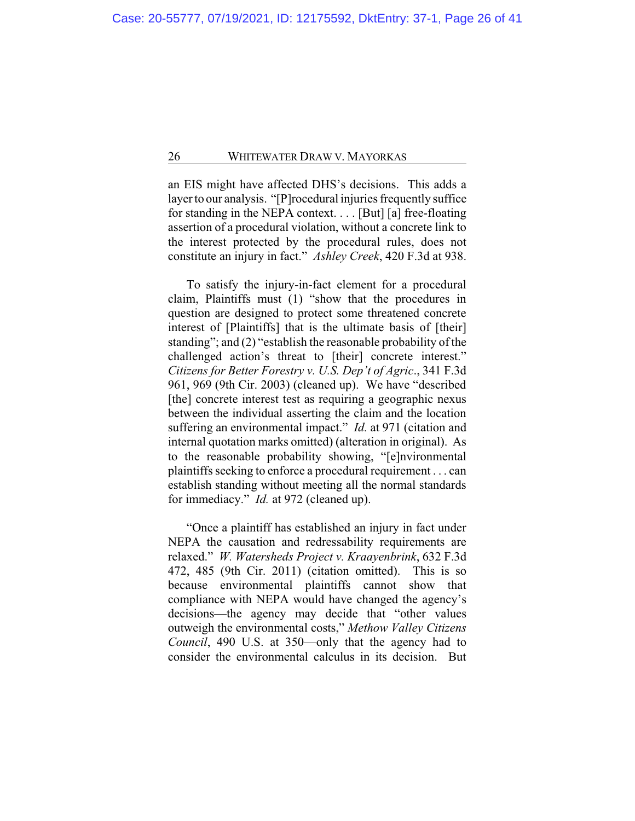an EIS might have affected DHS's decisions. This adds a layer to our analysis. "[P]rocedural injuries frequently suffice for standing in the NEPA context. . . . [But] [a] free-floating assertion of a procedural violation, without a concrete link to the interest protected by the procedural rules, does not constitute an injury in fact." *Ashley Creek*, 420 F.3d at 938.

To satisfy the injury-in-fact element for a procedural claim, Plaintiffs must (1) "show that the procedures in question are designed to protect some threatened concrete interest of [Plaintiffs] that is the ultimate basis of [their] standing"; and (2) "establish the reasonable probability of the challenged action's threat to [their] concrete interest." *Citizens for Better Forestry v. U.S. Dep't of Agric*., 341 F.3d 961, 969 (9th Cir. 2003) (cleaned up). We have "described [the] concrete interest test as requiring a geographic nexus between the individual asserting the claim and the location suffering an environmental impact." *Id.* at 971 (citation and internal quotation marks omitted) (alteration in original). As to the reasonable probability showing, "[e]nvironmental plaintiffs seeking to enforce a procedural requirement . . . can establish standing without meeting all the normal standards for immediacy." *Id.* at 972 (cleaned up).

"Once a plaintiff has established an injury in fact under NEPA the causation and redressability requirements are relaxed." *W. Watersheds Project v. Kraayenbrink*, 632 F.3d 472, 485 (9th Cir. 2011) (citation omitted). This is so because environmental plaintiffs cannot show that compliance with NEPA would have changed the agency's decisions—the agency may decide that "other values outweigh the environmental costs," *Methow Valley Citizens Council*, 490 U.S. at 350—only that the agency had to consider the environmental calculus in its decision. But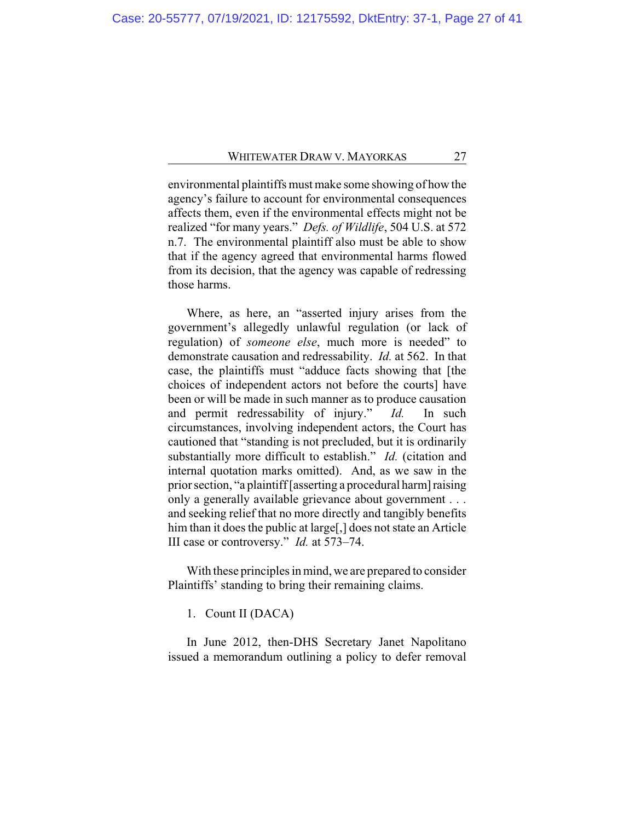environmental plaintiffs must make some showing of how the agency's failure to account for environmental consequences affects them, even if the environmental effects might not be realized "for many years." *Defs. of Wildlife*, 504 U.S. at 572 n.7. The environmental plaintiff also must be able to show that if the agency agreed that environmental harms flowed from its decision, that the agency was capable of redressing those harms.

Where, as here, an "asserted injury arises from the government's allegedly unlawful regulation (or lack of regulation) of *someone else*, much more is needed" to demonstrate causation and redressability. *Id.* at 562. In that case, the plaintiffs must "adduce facts showing that [the choices of independent actors not before the courts] have been or will be made in such manner as to produce causation and permit redressability of injury." *Id.* In such circumstances, involving independent actors, the Court has cautioned that "standing is not precluded, but it is ordinarily substantially more difficult to establish." *Id.* (citation and internal quotation marks omitted). And, as we saw in the prior section, "a plaintiff [asserting a procedural harm]raising only a generally available grievance about government . . . and seeking relief that no more directly and tangibly benefits him than it does the public at large[,] does not state an Article III case or controversy." *Id.* at 573–74.

With these principles in mind, we are prepared to consider Plaintiffs' standing to bring their remaining claims.

1. Count II (DACA)

In June 2012, then-DHS Secretary Janet Napolitano issued a memorandum outlining a policy to defer removal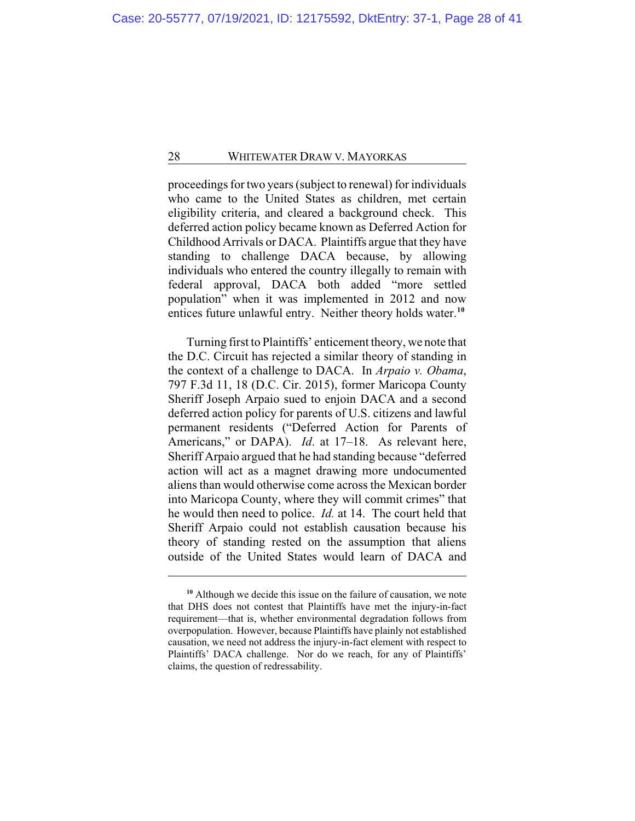proceedings for two years (subject to renewal) for individuals who came to the United States as children, met certain eligibility criteria, and cleared a background check. This deferred action policy became known as Deferred Action for Childhood Arrivals or DACA. Plaintiffs argue that they have standing to challenge DACA because, by allowing individuals who entered the country illegally to remain with federal approval, DACA both added "more settled population" when it was implemented in 2012 and now entices future unlawful entry. Neither theory holds water.**<sup>10</sup>**

Turning first to Plaintiffs' enticement theory, we note that the D.C. Circuit has rejected a similar theory of standing in the context of a challenge to DACA. In *Arpaio v. Obama*, 797 F.3d 11, 18 (D.C. Cir. 2015), former Maricopa County Sheriff Joseph Arpaio sued to enjoin DACA and a second deferred action policy for parents of U.S. citizens and lawful permanent residents ("Deferred Action for Parents of Americans," or DAPA). *Id*. at 17–18. As relevant here, Sheriff Arpaio argued that he had standing because "deferred action will act as a magnet drawing more undocumented aliens than would otherwise come across the Mexican border into Maricopa County, where they will commit crimes" that he would then need to police. *Id.* at 14. The court held that Sheriff Arpaio could not establish causation because his theory of standing rested on the assumption that aliens outside of the United States would learn of DACA and

**<sup>10</sup>** Although we decide this issue on the failure of causation, we note that DHS does not contest that Plaintiffs have met the injury-in-fact requirement—that is, whether environmental degradation follows from overpopulation. However, because Plaintiffs have plainly not established causation, we need not address the injury-in-fact element with respect to Plaintiffs' DACA challenge. Nor do we reach, for any of Plaintiffs' claims, the question of redressability.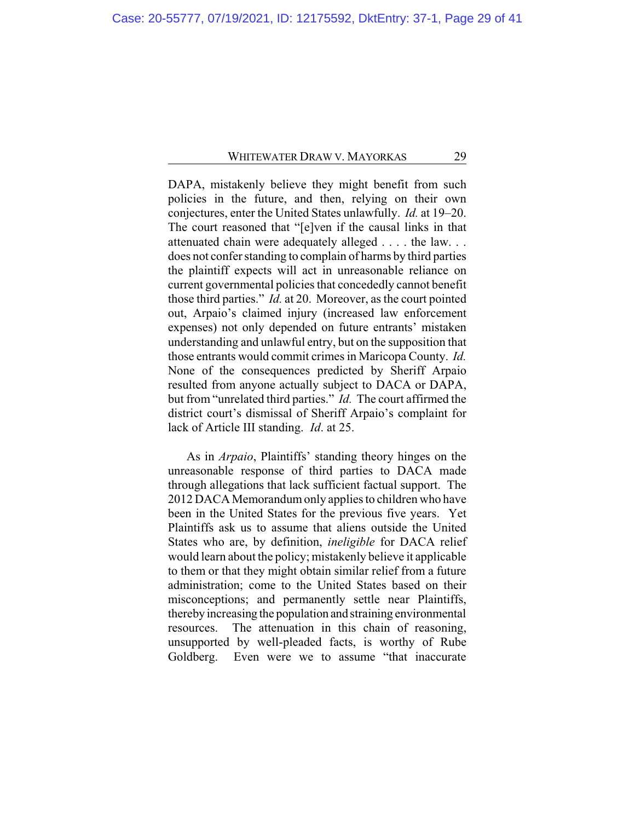DAPA, mistakenly believe they might benefit from such policies in the future, and then, relying on their own conjectures, enter the United States unlawfully. *Id.* at 19–20. The court reasoned that "[e]ven if the causal links in that attenuated chain were adequately alleged . . . . the law. . . does not confer standing to complain of harms by third parties the plaintiff expects will act in unreasonable reliance on current governmental policies that concededly cannot benefit those third parties." *Id.* at 20. Moreover, as the court pointed out, Arpaio's claimed injury (increased law enforcement expenses) not only depended on future entrants' mistaken understanding and unlawful entry, but on the supposition that those entrants would commit crimes in Maricopa County. *Id.* None of the consequences predicted by Sheriff Arpaio resulted from anyone actually subject to DACA or DAPA, but from "unrelated third parties." *Id.* The court affirmed the district court's dismissal of Sheriff Arpaio's complaint for lack of Article III standing. *Id*. at 25.

As in *Arpaio*, Plaintiffs' standing theory hinges on the unreasonable response of third parties to DACA made through allegations that lack sufficient factual support. The 2012 DACA Memorandumonly applies to children who have been in the United States for the previous five years. Yet Plaintiffs ask us to assume that aliens outside the United States who are, by definition, *ineligible* for DACA relief would learn about the policy; mistakenly believe it applicable to them or that they might obtain similar relief from a future administration; come to the United States based on their misconceptions; and permanently settle near Plaintiffs, thereby increasing the population and straining environmental resources. The attenuation in this chain of reasoning, unsupported by well-pleaded facts, is worthy of Rube Goldberg. Even were we to assume "that inaccurate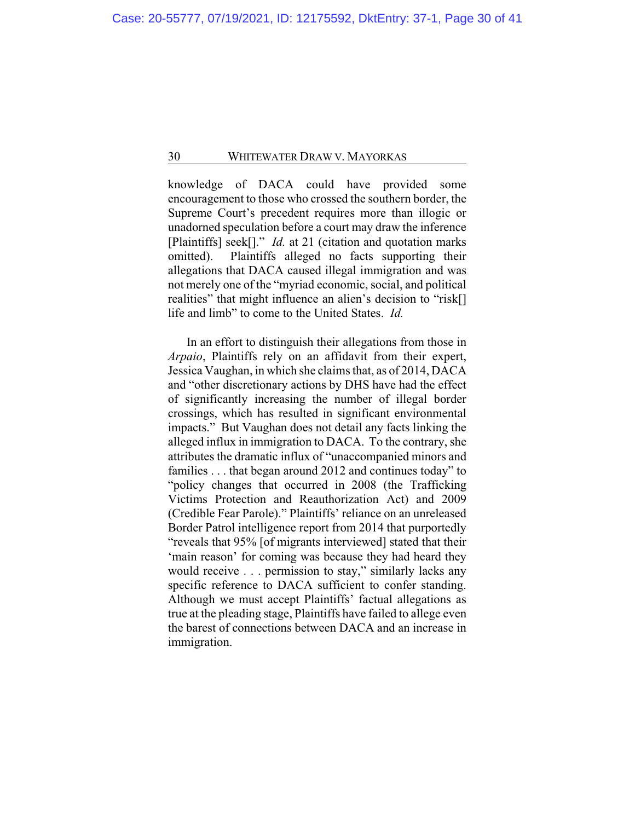knowledge of DACA could have provided some encouragement to those who crossed the southern border, the Supreme Court's precedent requires more than illogic or unadorned speculation before a court may draw the inference [Plaintiffs] seek<sup>[]</sup>." *Id.* at 21 (citation and quotation marks omitted). Plaintiffs alleged no facts supporting their allegations that DACA caused illegal immigration and was not merely one of the "myriad economic, social, and political realities" that might influence an alien's decision to "risk[] life and limb" to come to the United States. *Id.*

In an effort to distinguish their allegations from those in *Arpaio*, Plaintiffs rely on an affidavit from their expert, Jessica Vaughan, in which she claims that, as of 2014, DACA and "other discretionary actions by DHS have had the effect of significantly increasing the number of illegal border crossings, which has resulted in significant environmental impacts." But Vaughan does not detail any facts linking the alleged influx in immigration to DACA. To the contrary, she attributes the dramatic influx of "unaccompanied minors and families . . . that began around 2012 and continues today" to "policy changes that occurred in 2008 (the Trafficking Victims Protection and Reauthorization Act) and 2009 (Credible Fear Parole)." Plaintiffs' reliance on an unreleased Border Patrol intelligence report from 2014 that purportedly "reveals that 95% [of migrants interviewed] stated that their 'main reason' for coming was because they had heard they would receive . . . permission to stay," similarly lacks any specific reference to DACA sufficient to confer standing. Although we must accept Plaintiffs' factual allegations as true at the pleading stage, Plaintiffs have failed to allege even the barest of connections between DACA and an increase in immigration.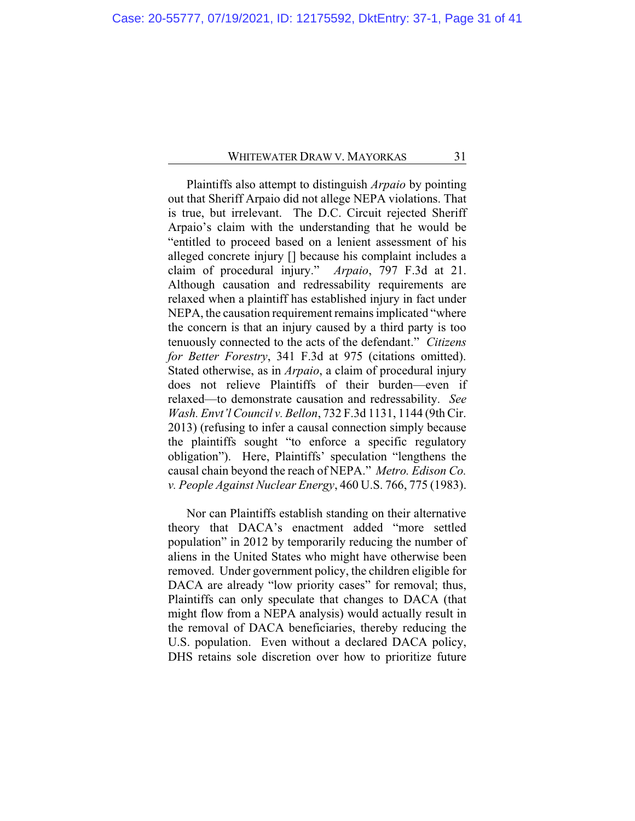Plaintiffs also attempt to distinguish *Arpaio* by pointing out that Sheriff Arpaio did not allege NEPA violations. That is true, but irrelevant. The D.C. Circuit rejected Sheriff Arpaio's claim with the understanding that he would be "entitled to proceed based on a lenient assessment of his alleged concrete injury [] because his complaint includes a claim of procedural injury." *Arpaio*, 797 F.3d at 21. Although causation and redressability requirements are relaxed when a plaintiff has established injury in fact under NEPA, the causation requirement remains implicated "where the concern is that an injury caused by a third party is too tenuously connected to the acts of the defendant." *Citizens for Better Forestry*, 341 F.3d at 975 (citations omitted). Stated otherwise, as in *Arpaio*, a claim of procedural injury does not relieve Plaintiffs of their burden—even if relaxed—to demonstrate causation and redressability. *See Wash. Envt'l Council v. Bellon*, 732 F.3d 1131, 1144 (9th Cir. 2013) (refusing to infer a causal connection simply because the plaintiffs sought "to enforce a specific regulatory obligation"). Here, Plaintiffs' speculation "lengthens the causal chain beyond the reach of NEPA." *Metro. Edison Co. v. People Against Nuclear Energy*, 460 U.S. 766, 775 (1983).

Nor can Plaintiffs establish standing on their alternative theory that DACA's enactment added "more settled population" in 2012 by temporarily reducing the number of aliens in the United States who might have otherwise been removed. Under government policy, the children eligible for DACA are already "low priority cases" for removal; thus, Plaintiffs can only speculate that changes to DACA (that might flow from a NEPA analysis) would actually result in the removal of DACA beneficiaries, thereby reducing the U.S. population. Even without a declared DACA policy, DHS retains sole discretion over how to prioritize future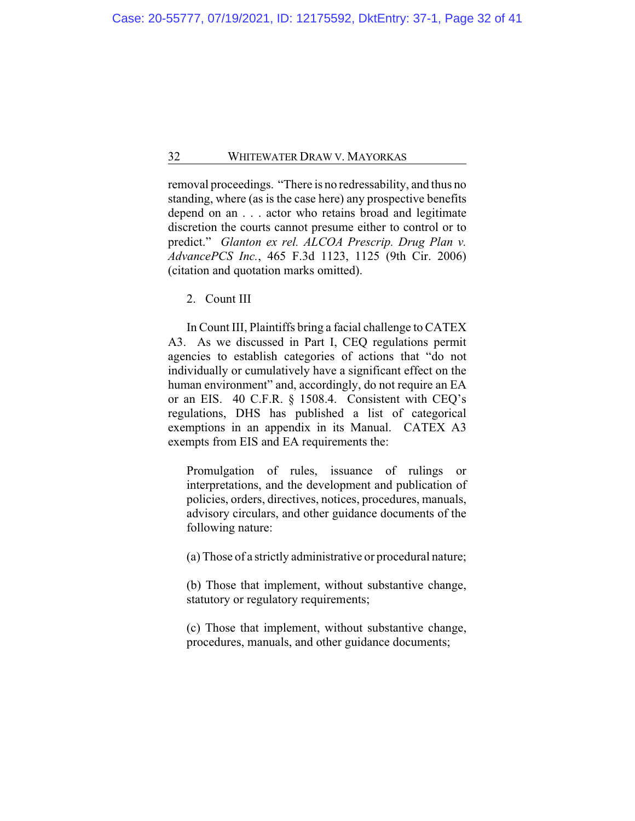removal proceedings. "There is no redressability, and thus no standing, where (as is the case here) any prospective benefits depend on an . . . actor who retains broad and legitimate discretion the courts cannot presume either to control or to predict." *Glanton ex rel. ALCOA Prescrip. Drug Plan v. AdvancePCS Inc.*, 465 F.3d 1123, 1125 (9th Cir. 2006) (citation and quotation marks omitted).

2. Count III

In Count III, Plaintiffs bring a facial challenge to CATEX A3. As we discussed in Part I, CEQ regulations permit agencies to establish categories of actions that "do not individually or cumulatively have a significant effect on the human environment" and, accordingly, do not require an EA or an EIS. 40 C.F.R. § 1508.4. Consistent with CEQ's regulations, DHS has published a list of categorical exemptions in an appendix in its Manual. CATEX A3 exempts from EIS and EA requirements the:

Promulgation of rules, issuance of rulings or interpretations, and the development and publication of policies, orders, directives, notices, procedures, manuals, advisory circulars, and other guidance documents of the following nature:

(a) Those of a strictly administrative or procedural nature;

(b) Those that implement, without substantive change, statutory or regulatory requirements;

(c) Those that implement, without substantive change, procedures, manuals, and other guidance documents;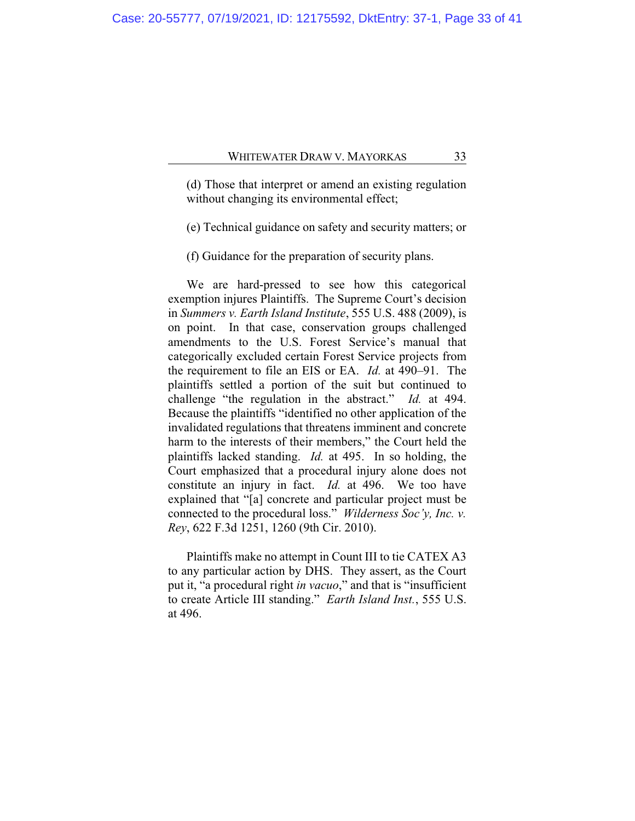(d) Those that interpret or amend an existing regulation without changing its environmental effect;

(e) Technical guidance on safety and security matters; or

(f) Guidance for the preparation of security plans.

We are hard-pressed to see how this categorical exemption injures Plaintiffs. The Supreme Court's decision in *Summers v. Earth Island Institute*, 555 U.S. 488 (2009), is on point. In that case, conservation groups challenged amendments to the U.S. Forest Service's manual that categorically excluded certain Forest Service projects from the requirement to file an EIS or EA. *Id.* at 490–91. The plaintiffs settled a portion of the suit but continued to challenge "the regulation in the abstract." *Id.* at 494. Because the plaintiffs "identified no other application of the invalidated regulations that threatens imminent and concrete harm to the interests of their members," the Court held the plaintiffs lacked standing. *Id.* at 495. In so holding, the Court emphasized that a procedural injury alone does not constitute an injury in fact. *Id.* at 496. We too have explained that "[a] concrete and particular project must be connected to the procedural loss." *Wilderness Soc'y, Inc. v. Rey*, 622 F.3d 1251, 1260 (9th Cir. 2010).

Plaintiffs make no attempt in Count III to tie CATEX A3 to any particular action by DHS. They assert, as the Court put it, "a procedural right *in vacuo*," and that is "insufficient to create Article III standing." *Earth Island Inst.*, 555 U.S. at 496.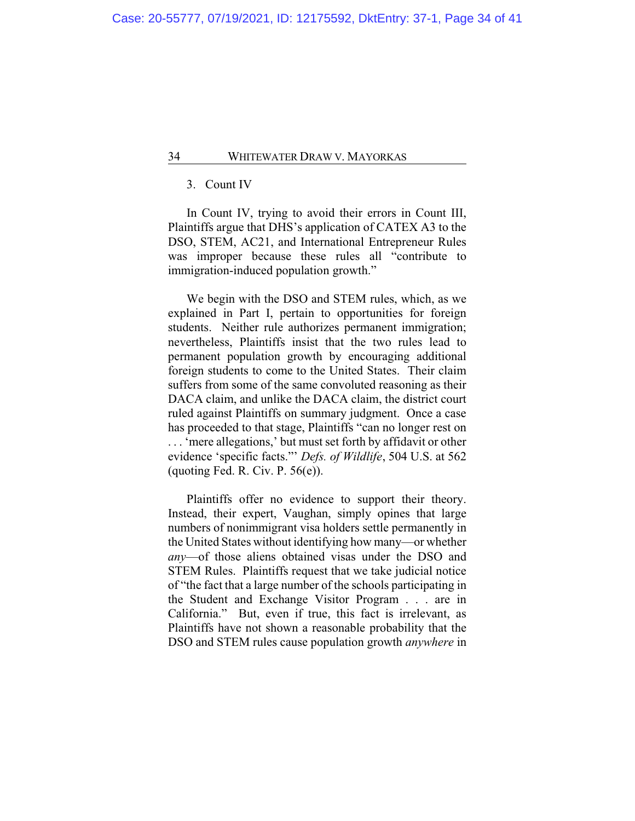## 3. Count IV

In Count IV, trying to avoid their errors in Count III, Plaintiffs argue that DHS's application of CATEX A3 to the DSO, STEM, AC21, and International Entrepreneur Rules was improper because these rules all "contribute to immigration-induced population growth."

We begin with the DSO and STEM rules, which, as we explained in Part I, pertain to opportunities for foreign students. Neither rule authorizes permanent immigration; nevertheless, Plaintiffs insist that the two rules lead to permanent population growth by encouraging additional foreign students to come to the United States. Their claim suffers from some of the same convoluted reasoning as their DACA claim, and unlike the DACA claim, the district court ruled against Plaintiffs on summary judgment. Once a case has proceeded to that stage, Plaintiffs "can no longer rest on . . . 'mere allegations,' but must set forth by affidavit or other evidence 'specific facts."' *Defs. of Wildlife*, 504 U.S. at 562 (quoting Fed. R. Civ. P.  $56(e)$ ).

Plaintiffs offer no evidence to support their theory. Instead, their expert, Vaughan, simply opines that large numbers of nonimmigrant visa holders settle permanently in the United States without identifying how many—or whether *any*—of those aliens obtained visas under the DSO and STEM Rules. Plaintiffs request that we take judicial notice of "the fact that a large number of the schools participating in the Student and Exchange Visitor Program . . . are in California." But, even if true, this fact is irrelevant, as Plaintiffs have not shown a reasonable probability that the DSO and STEM rules cause population growth *anywhere* in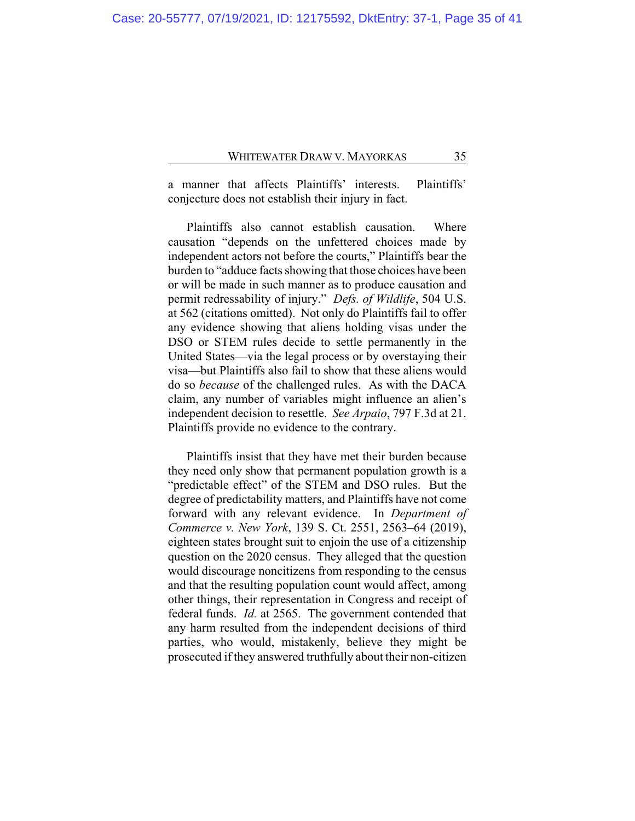a manner that affects Plaintiffs' interests. Plaintiffs' conjecture does not establish their injury in fact.

Plaintiffs also cannot establish causation. Where causation "depends on the unfettered choices made by independent actors not before the courts," Plaintiffs bear the burden to "adduce facts showing that those choices have been or will be made in such manner as to produce causation and permit redressability of injury." *Defs. of Wildlife*, 504 U.S. at 562 (citations omitted). Not only do Plaintiffs fail to offer any evidence showing that aliens holding visas under the DSO or STEM rules decide to settle permanently in the United States—via the legal process or by overstaying their visa—but Plaintiffs also fail to show that these aliens would do so *because* of the challenged rules. As with the DACA claim, any number of variables might influence an alien's independent decision to resettle. *See Arpaio*, 797 F.3d at 21. Plaintiffs provide no evidence to the contrary.

Plaintiffs insist that they have met their burden because they need only show that permanent population growth is a "predictable effect" of the STEM and DSO rules. But the degree of predictability matters, and Plaintiffs have not come forward with any relevant evidence. In *Department of Commerce v. New York*, 139 S. Ct. 2551, 2563–64 (2019), eighteen states brought suit to enjoin the use of a citizenship question on the 2020 census. They alleged that the question would discourage noncitizens from responding to the census and that the resulting population count would affect, among other things, their representation in Congress and receipt of federal funds. *Id.* at 2565. The government contended that any harm resulted from the independent decisions of third parties, who would, mistakenly, believe they might be prosecuted if they answered truthfully about their non-citizen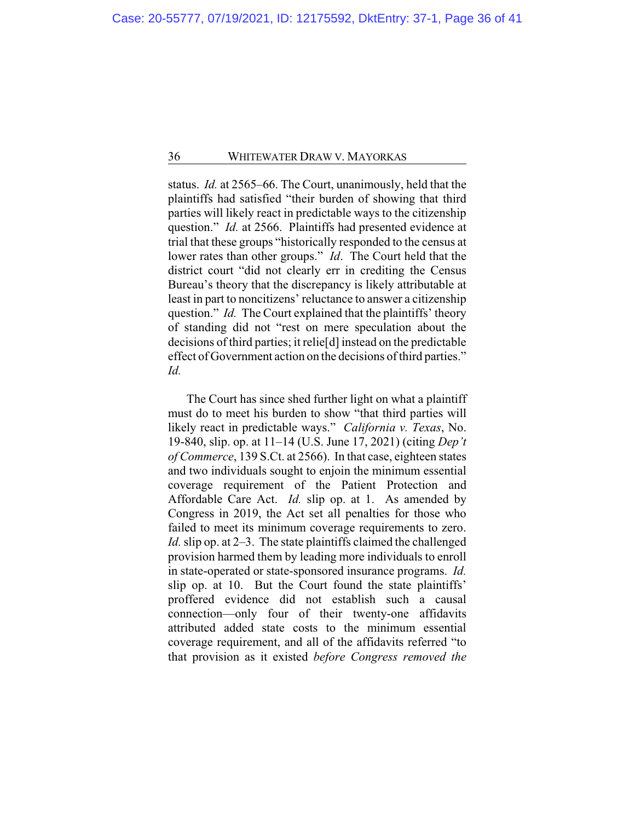status. *Id.* at 2565–66. The Court, unanimously, held that the plaintiffs had satisfied "their burden of showing that third parties will likely react in predictable ways to the citizenship question." *Id.* at 2566. Plaintiffs had presented evidence at trial that these groups "historically responded to the census at lower rates than other groups." *Id*. The Court held that the district court "did not clearly err in crediting the Census Bureau's theory that the discrepancy is likely attributable at least in part to noncitizens' reluctance to answer a citizenship question." *Id.* The Court explained that the plaintiffs' theory of standing did not "rest on mere speculation about the decisions of third parties; it relie[d] instead on the predictable effect of Government action on the decisions of third parties." *Id.*

The Court has since shed further light on what a plaintiff must do to meet his burden to show "that third parties will likely react in predictable ways." *California v. Texas*, No. 19-840, slip. op. at 11–14 (U.S. June 17, 2021) (citing *Dep't of Commerce*, 139 S.Ct. at 2566). In that case, eighteen states and two individuals sought to enjoin the minimum essential coverage requirement of the Patient Protection and Affordable Care Act. *Id.* slip op. at 1. As amended by Congress in 2019, the Act set all penalties for those who failed to meet its minimum coverage requirements to zero. *Id.* slip op. at 2–3. The state plaintiffs claimed the challenged provision harmed them by leading more individuals to enroll in state-operated or state-sponsored insurance programs. *Id.* slip op. at 10. But the Court found the state plaintiffs' proffered evidence did not establish such a causal connection—only four of their twenty-one affidavits attributed added state costs to the minimum essential coverage requirement, and all of the affidavits referred "to that provision as it existed *before Congress removed the*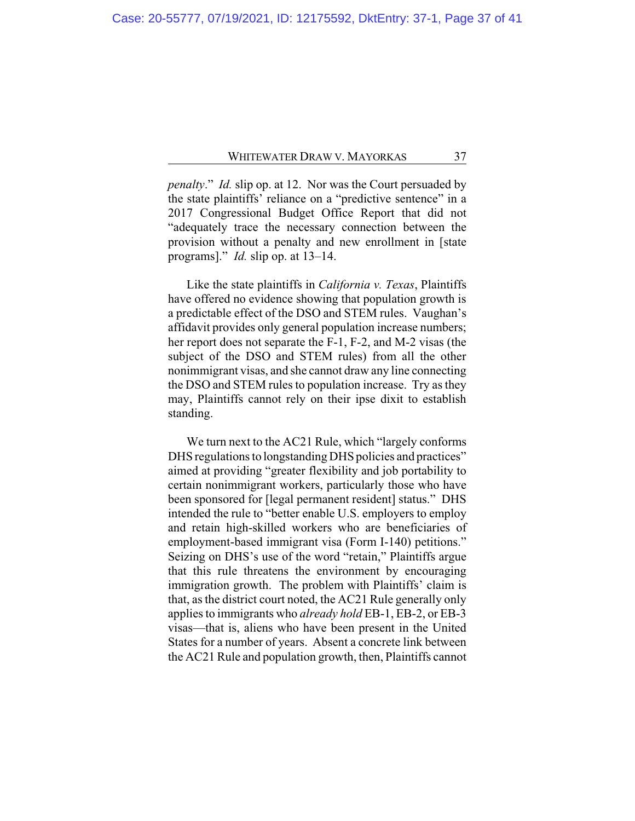*penalty*." *Id.* slip op. at 12. Nor was the Court persuaded by the state plaintiffs' reliance on a "predictive sentence" in a 2017 Congressional Budget Office Report that did not "adequately trace the necessary connection between the provision without a penalty and new enrollment in [state programs]." *Id.* slip op. at 13–14.

Like the state plaintiffs in *California v. Texas*, Plaintiffs have offered no evidence showing that population growth is a predictable effect of the DSO and STEM rules. Vaughan's affidavit provides only general population increase numbers; her report does not separate the F-1, F-2, and M-2 visas (the subject of the DSO and STEM rules) from all the other nonimmigrant visas, and she cannot draw any line connecting the DSO and STEM rules to population increase. Try as they may, Plaintiffs cannot rely on their ipse dixit to establish standing.

We turn next to the AC21 Rule, which "largely conforms DHS regulations to longstanding DHS policies and practices" aimed at providing "greater flexibility and job portability to certain nonimmigrant workers, particularly those who have been sponsored for [legal permanent resident] status." DHS intended the rule to "better enable U.S. employers to employ and retain high-skilled workers who are beneficiaries of employment-based immigrant visa (Form I-140) petitions." Seizing on DHS's use of the word "retain," Plaintiffs argue that this rule threatens the environment by encouraging immigration growth. The problem with Plaintiffs' claim is that, as the district court noted, the AC21 Rule generally only applies to immigrants who *already hold* EB-1, EB-2, or EB-3 visas—that is, aliens who have been present in the United States for a number of years. Absent a concrete link between the AC21 Rule and population growth, then, Plaintiffs cannot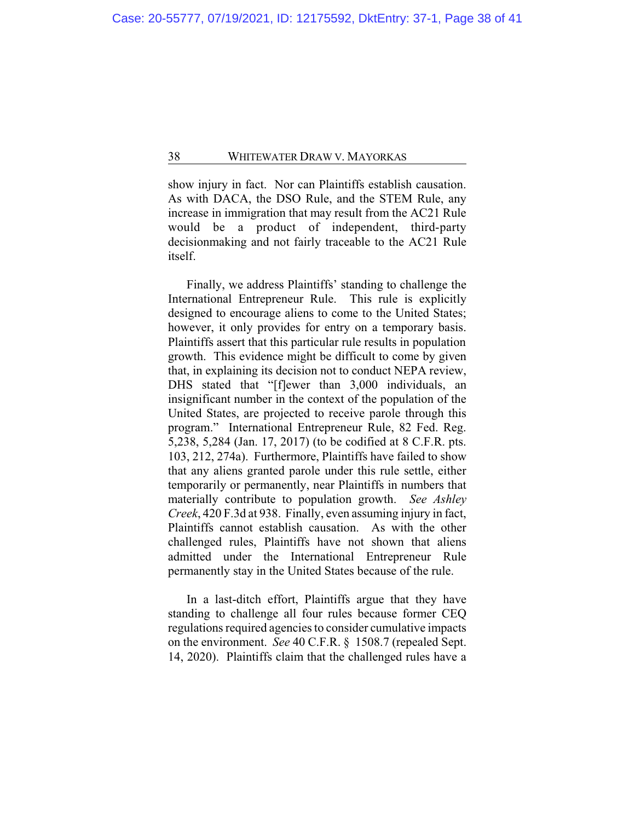show injury in fact. Nor can Plaintiffs establish causation. As with DACA, the DSO Rule, and the STEM Rule, any increase in immigration that may result from the AC21 Rule would be a product of independent, third-party decisionmaking and not fairly traceable to the AC21 Rule itself.

Finally, we address Plaintiffs' standing to challenge the International Entrepreneur Rule. This rule is explicitly designed to encourage aliens to come to the United States; however, it only provides for entry on a temporary basis. Plaintiffs assert that this particular rule results in population growth. This evidence might be difficult to come by given that, in explaining its decision not to conduct NEPA review, DHS stated that "[f]ewer than 3,000 individuals, an insignificant number in the context of the population of the United States, are projected to receive parole through this program." International Entrepreneur Rule, 82 Fed. Reg. 5,238, 5,284 (Jan. 17, 2017) (to be codified at 8 C.F.R. pts. 103, 212, 274a). Furthermore, Plaintiffs have failed to show that any aliens granted parole under this rule settle, either temporarily or permanently, near Plaintiffs in numbers that materially contribute to population growth. *See Ashley Creek*, 420 F.3d at 938. Finally, even assuming injury in fact, Plaintiffs cannot establish causation. As with the other challenged rules, Plaintiffs have not shown that aliens admitted under the International Entrepreneur Rule permanently stay in the United States because of the rule.

In a last-ditch effort, Plaintiffs argue that they have standing to challenge all four rules because former CEQ regulations required agencies to consider cumulative impacts on the environment. *See* 40 C.F.R. § 1508.7 (repealed Sept. 14, 2020). Plaintiffs claim that the challenged rules have a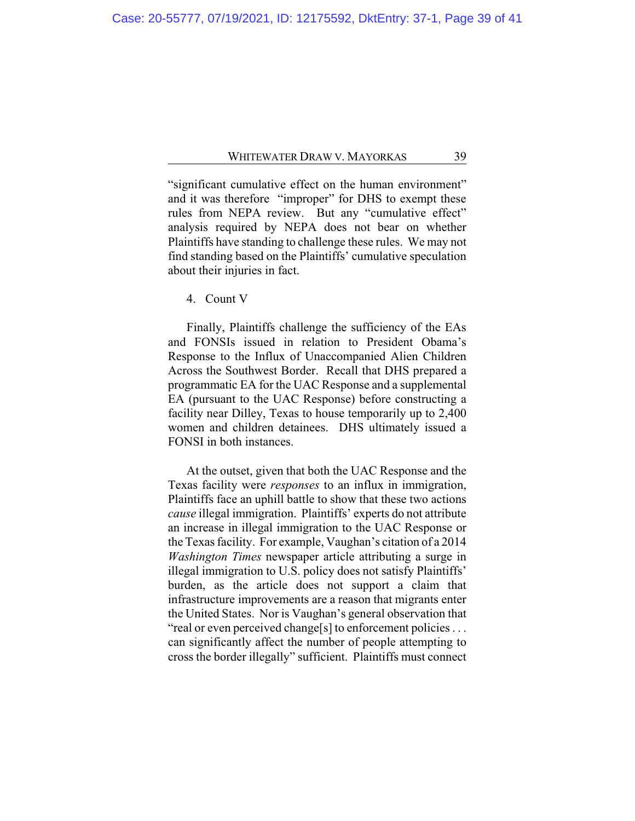"significant cumulative effect on the human environment" and it was therefore "improper" for DHS to exempt these rules from NEPA review. But any "cumulative effect" analysis required by NEPA does not bear on whether Plaintiffs have standing to challenge these rules. We may not find standing based on the Plaintiffs' cumulative speculation about their injuries in fact.

4. Count V

Finally, Plaintiffs challenge the sufficiency of the EAs and FONSIs issued in relation to President Obama's Response to the Influx of Unaccompanied Alien Children Across the Southwest Border. Recall that DHS prepared a programmatic EA for the UAC Response and a supplemental EA (pursuant to the UAC Response) before constructing a facility near Dilley, Texas to house temporarily up to 2,400 women and children detainees. DHS ultimately issued a FONSI in both instances.

At the outset, given that both the UAC Response and the Texas facility were *responses* to an influx in immigration, Plaintiffs face an uphill battle to show that these two actions *cause* illegal immigration. Plaintiffs' experts do not attribute an increase in illegal immigration to the UAC Response or the Texas facility. For example, Vaughan's citation of a 2014 *Washington Times* newspaper article attributing a surge in illegal immigration to U.S. policy does not satisfy Plaintiffs' burden, as the article does not support a claim that infrastructure improvements are a reason that migrants enter the United States. Nor is Vaughan's general observation that "real or even perceived change[s] to enforcement policies . . . can significantly affect the number of people attempting to cross the border illegally" sufficient. Plaintiffs must connect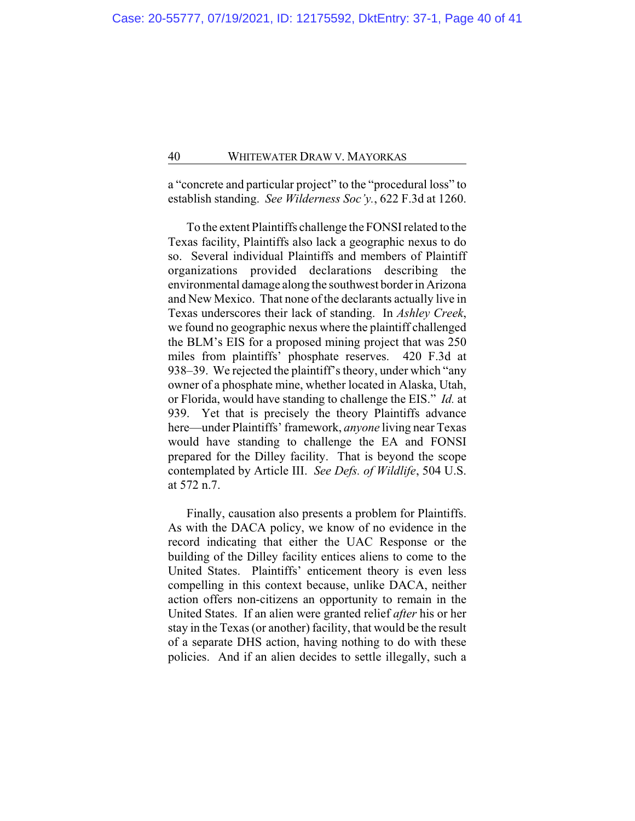a "concrete and particular project" to the "procedural loss" to establish standing. *See Wilderness Soc'y.*, 622 F.3d at 1260.

To the extent Plaintiffs challenge the FONSI related to the Texas facility, Plaintiffs also lack a geographic nexus to do so. Several individual Plaintiffs and members of Plaintiff organizations provided declarations describing the environmental damage along the southwest border in Arizona and New Mexico. That none of the declarants actually live in Texas underscores their lack of standing. In *Ashley Creek*, we found no geographic nexus where the plaintiff challenged the BLM's EIS for a proposed mining project that was 250 miles from plaintiffs' phosphate reserves. 420 F.3d at 938–39. We rejected the plaintiff's theory, under which "any owner of a phosphate mine, whether located in Alaska, Utah, or Florida, would have standing to challenge the EIS." *Id.* at 939. Yet that is precisely the theory Plaintiffs advance here—under Plaintiffs' framework, *anyone* living near Texas would have standing to challenge the EA and FONSI prepared for the Dilley facility. That is beyond the scope contemplated by Article III. *See Defs. of Wildlife*, 504 U.S. at 572 n.7.

Finally, causation also presents a problem for Plaintiffs. As with the DACA policy, we know of no evidence in the record indicating that either the UAC Response or the building of the Dilley facility entices aliens to come to the United States. Plaintiffs' enticement theory is even less compelling in this context because, unlike DACA, neither action offers non-citizens an opportunity to remain in the United States. If an alien were granted relief *after* his or her stay in the Texas (or another) facility, that would be the result of a separate DHS action, having nothing to do with these policies. And if an alien decides to settle illegally, such a